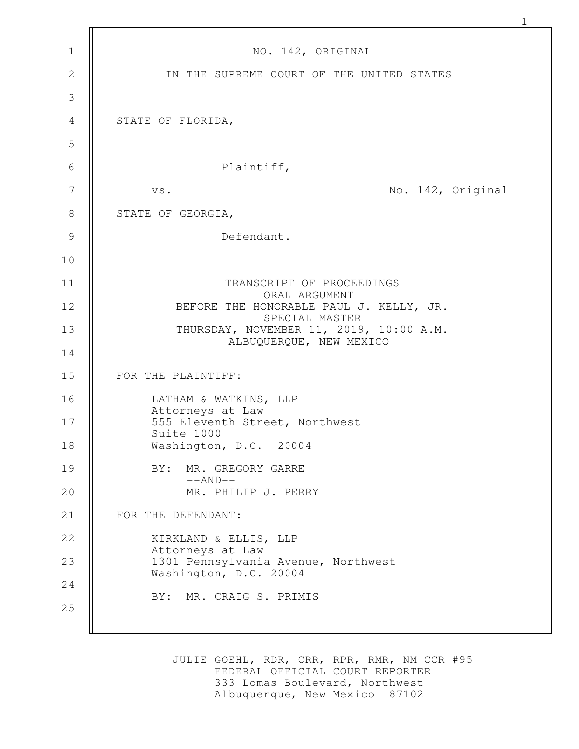| $\mathbf{1}$   | NO. 142, ORIGINAL                                                  |
|----------------|--------------------------------------------------------------------|
| $\mathbf{2}$   | IN THE SUPREME COURT OF THE UNITED STATES                          |
| $\mathcal{S}$  |                                                                    |
| $\overline{4}$ | STATE OF FLORIDA,                                                  |
| 5              |                                                                    |
| $\sqrt{6}$     | Plaintiff,                                                         |
| $\overline{7}$ | No. 142, Original<br>VS.                                           |
| $8\,$          | STATE OF GEORGIA,                                                  |
| $\mathcal{G}$  | Defendant.                                                         |
| 10             |                                                                    |
| 11             | TRANSCRIPT OF PROCEEDINGS<br>ORAL ARGUMENT                         |
| 12             | BEFORE THE HONORABLE PAUL J. KELLY, JR.<br>SPECIAL MASTER          |
| 13             | THURSDAY, NOVEMBER 11, 2019, 10:00 A.M.<br>ALBUQUERQUE, NEW MEXICO |
| 14             |                                                                    |
| 15             | FOR THE PLAINTIFF:                                                 |
| 16             | LATHAM & WATKINS, LLP<br>Attorneys at Law                          |
| $17$           | 555 Eleventh Street, Northwest<br>Suite 1000                       |
| 18             | Washington, D.C. 20004                                             |
| 19             | BY: MR. GREGORY GARRE<br>$--AND--$                                 |
| 20             | MR. PHILIP J. PERRY                                                |
| 21             | FOR THE DEFENDANT:                                                 |
| 22             | KIRKLAND & ELLIS, LLP<br>Attorneys at Law                          |
| 23             | 1301 Pennsylvania Avenue, Northwest<br>Washington, D.C. 20004      |
| 24             | BY: MR. CRAIG S. PRIMIS                                            |
| 25             |                                                                    |
|                |                                                                    |

1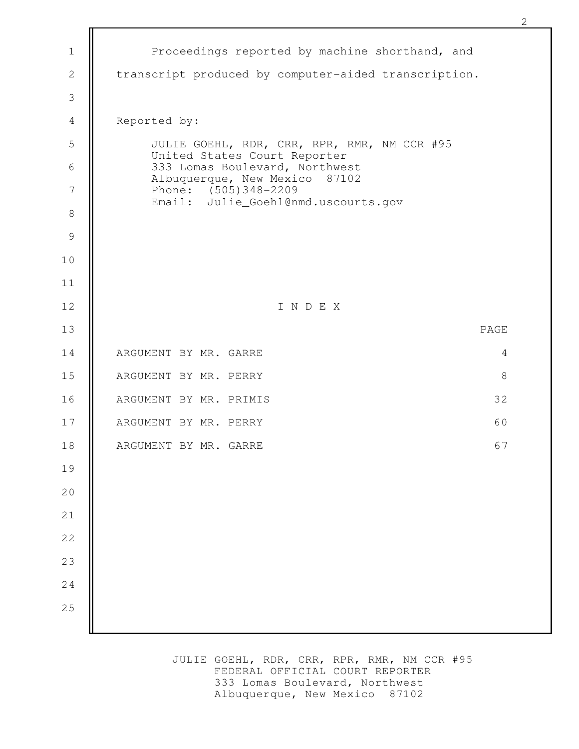| $1\,$          | Proceedings reported by machine shorthand, and                                               |
|----------------|----------------------------------------------------------------------------------------------|
| $\mathbf{2}$   | transcript produced by computer-aided transcription.                                         |
| $\mathcal{S}$  |                                                                                              |
| $\overline{4}$ | Reported by:                                                                                 |
| 5              | JULIE GOEHL, RDR, CRR, RPR, RMR, NM CCR #95<br>United States Court Reporter                  |
| $6\,$          | 333 Lomas Boulevard, Northwest                                                               |
| 7              | Albuquerque, New Mexico 87102<br>Phone: (505)348-2209<br>Email: Julie_Goehl@nmd.uscourts.gov |
| $\,8\,$        |                                                                                              |
| $\overline{9}$ |                                                                                              |
| 10             |                                                                                              |
| 11             |                                                                                              |
| 12             | INDEX                                                                                        |
| 13             | PAGE                                                                                         |
| 14             | ARGUMENT BY MR. GARRE<br>4                                                                   |
| 15             | $\,8\,$<br>ARGUMENT BY MR. PERRY                                                             |
| 16             | 32<br>ARGUMENT BY MR. PRIMIS                                                                 |
| 17             | 60<br>ARGUMENT BY MR. PERRY                                                                  |
| 18             | 67<br>ARGUMENT BY MR. GARRE                                                                  |
| 19             |                                                                                              |
| 20             |                                                                                              |
| $2\sqrt{1}$    |                                                                                              |
| 22             |                                                                                              |
| 23             |                                                                                              |
| 24             |                                                                                              |
| 25             |                                                                                              |
|                |                                                                                              |

JULIE GOEHL, RDR, CRR, RPR, RMR, NM CCR #95 FEDERAL OFFICIAL COURT REPORTER 333 Lomas Boulevard, Northwest Albuquerque, New Mexico 87102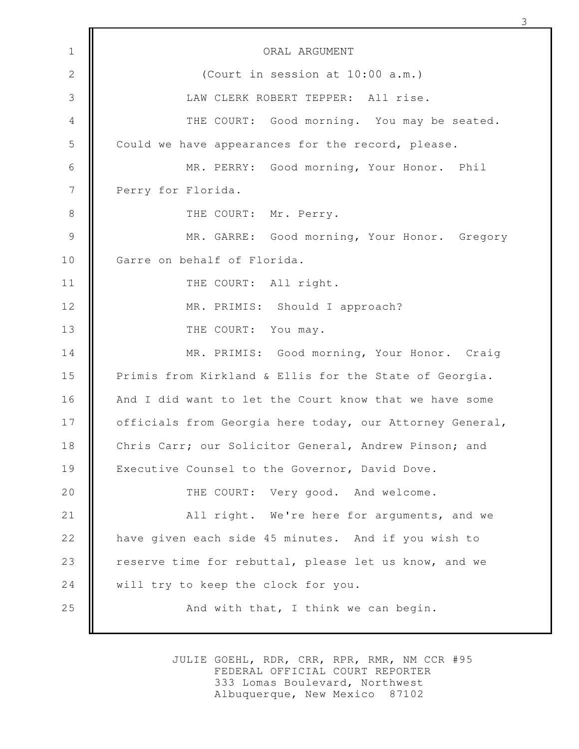ORAL ARGUMENT (Court in session at 10:00 a.m.) LAW CLERK ROBERT TEPPER: All rise. THE COURT: Good morning. You may be seated. Could we have appearances for the record, please. MR. PERRY: Good morning, Your Honor. Phil Perry for Florida. THE COURT: Mr. Perry. MR. GARRE: Good morning, Your Honor. Gregory Garre on behalf of Florida. THE COURT: All right. MR. PRIMIS: Should I approach? THE COURT: You may. MR. PRIMIS: Good morning, Your Honor. Craig Primis from Kirkland & Ellis for the State of Georgia. And I did want to let the Court know that we have some officials from Georgia here today, our Attorney General, Chris Carr; our Solicitor General, Andrew Pinson; and Executive Counsel to the Governor, David Dove. THE COURT: Very good. And welcome. All right. We're here for arguments, and we have given each side 45 minutes. And if you wish to reserve time for rebuttal, please let us know, and we will try to keep the clock for you. And with that, I think we can begin. 1 2 3 4 5 6 7 8 9 10 11 12 13 14 15 16 17 18 19 20 21 22 23 24 25

3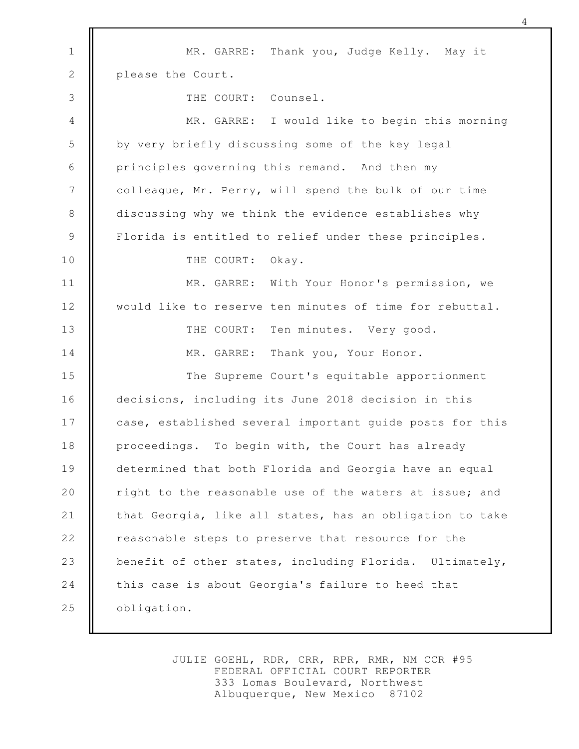MR. GARRE: Thank you, Judge Kelly. May it please the Court. THE COURT: Counsel. MR. GARRE: I would like to begin this morning by very briefly discussing some of the key legal principles governing this remand. And then my colleague, Mr. Perry, will spend the bulk of our time discussing why we think the evidence establishes why Florida is entitled to relief under these principles. THE COURT: Okay. MR. GARRE: With Your Honor's permission, we would like to reserve ten minutes of time for rebuttal. THE COURT: Ten minutes. Very good. MR. GARRE: Thank you, Your Honor. The Supreme Court's equitable apportionment decisions, including its June 2018 decision in this case, established several important guide posts for this proceedings. To begin with, the Court has already determined that both Florida and Georgia have an equal right to the reasonable use of the waters at issue; and that Georgia, like all states, has an obligation to take reasonable steps to preserve that resource for the benefit of other states, including Florida. Ultimately, this case is about Georgia's failure to heed that obligation. 1 2 3 4 5 6 7 8 9 10 11 12 13 14 15 16 17 18 19 20 21 22 23 24 25

4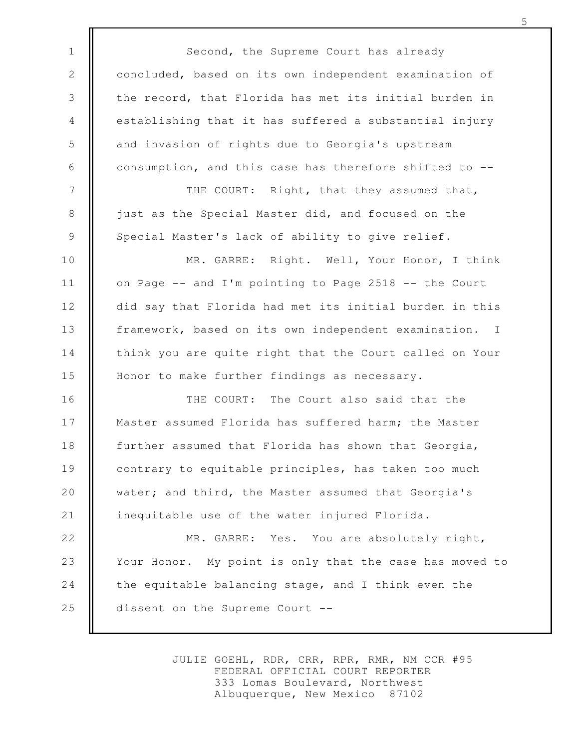Second, the Supreme Court has already concluded, based on its own independent examination of the record, that Florida has met its initial burden in establishing that it has suffered a substantial injury and invasion of rights due to Georgia's upstream consumption, and this case has therefore shifted to -- THE COURT: Right, that they assumed that, just as the Special Master did, and focused on the Special Master's lack of ability to give relief. MR. GARRE: Right. Well, Your Honor, I think on Page -- and I'm pointing to Page 2518 -- the Court did say that Florida had met its initial burden in this framework, based on its own independent examination. I think you are quite right that the Court called on Your Honor to make further findings as necessary. THE COURT: The Court also said that the Master assumed Florida has suffered harm; the Master further assumed that Florida has shown that Georgia, contrary to equitable principles, has taken too much water; and third, the Master assumed that Georgia's inequitable use of the water injured Florida. MR. GARRE: Yes. You are absolutely right, Your Honor. My point is only that the case has moved to the equitable balancing stage, and I think even the dissent on the Supreme Court -- 1 2 3 4 5 6 7 8 9 10 11 12 13 14 15 16 17 18 19 20 21 22 23 24 25

> JULIE GOEHL, RDR, CRR, RPR, RMR, NM CCR #95 FEDERAL OFFICIAL COURT REPORTER 333 Lomas Boulevard, Northwest Albuquerque, New Mexico 87102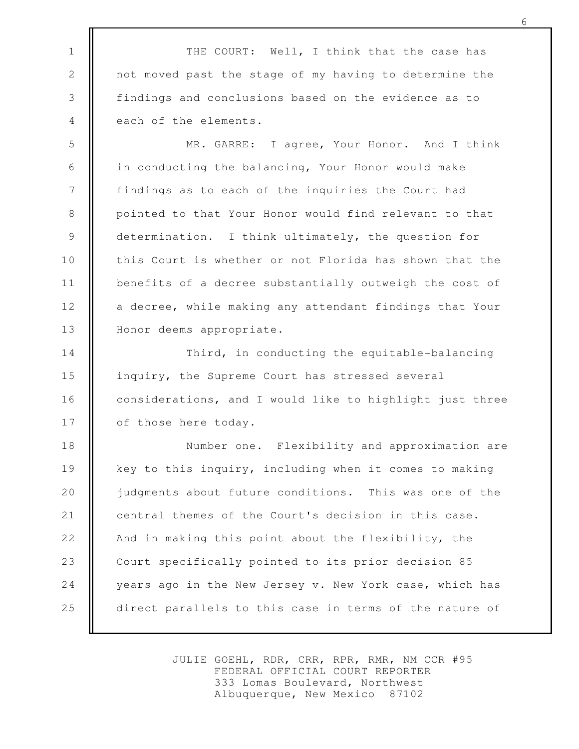THE COURT: Well, I think that the case has not moved past the stage of my having to determine the findings and conclusions based on the evidence as to each of the elements.

1

2

3

4

MR. GARRE: I agree, Your Honor. And I think in conducting the balancing, Your Honor would make findings as to each of the inquiries the Court had pointed to that Your Honor would find relevant to that determination. I think ultimately, the question for this Court is whether or not Florida has shown that the benefits of a decree substantially outweigh the cost of a decree, while making any attendant findings that Your Honor deems appropriate. 5 6 7 8 9 10 11 12 13

Third, in conducting the equitable-balancing inquiry, the Supreme Court has stressed several considerations, and I would like to highlight just three of those here today. 14 15 16 17

Number one. Flexibility and approximation are key to this inquiry, including when it comes to making judgments about future conditions. This was one of the central themes of the Court's decision in this case. And in making this point about the flexibility, the Court specifically pointed to its prior decision 85 years ago in the New Jersey v. New York case, which has direct parallels to this case in terms of the nature of 18 19 20 21 22 23 24 25

> JULIE GOEHL, RDR, CRR, RPR, RMR, NM CCR #95 FEDERAL OFFICIAL COURT REPORTER 333 Lomas Boulevard, Northwest Albuquerque, New Mexico 87102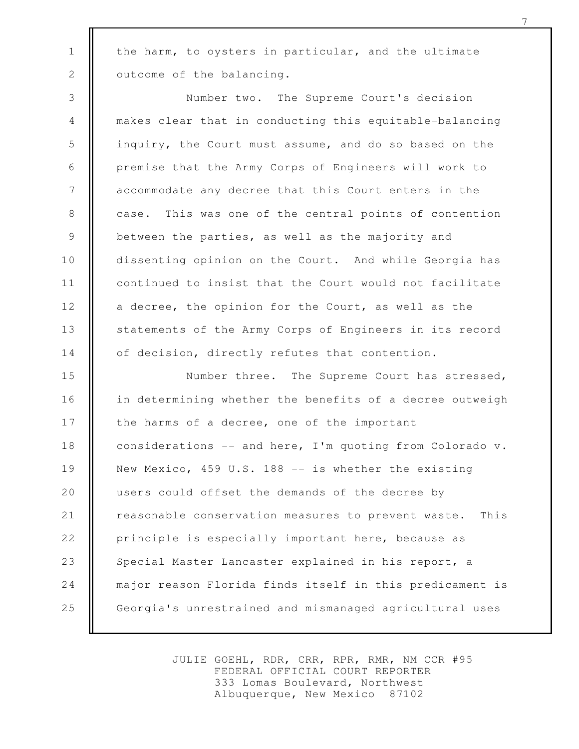the harm, to oysters in particular, and the ultimate outcome of the balancing.

1

2

Number two. The Supreme Court's decision makes clear that in conducting this equitable-balancing inquiry, the Court must assume, and do so based on the premise that the Army Corps of Engineers will work to accommodate any decree that this Court enters in the case. This was one of the central points of contention between the parties, as well as the majority and dissenting opinion on the Court. And while Georgia has continued to insist that the Court would not facilitate a decree, the opinion for the Court, as well as the statements of the Army Corps of Engineers in its record of decision, directly refutes that contention. 3 4 5 6 7 8 9 10 11 12 13 14

Number three. The Supreme Court has stressed, in determining whether the benefits of a decree outweigh the harms of a decree, one of the important considerations -- and here, I'm quoting from Colorado v. New Mexico, 459 U.S. 188 -- is whether the existing users could offset the demands of the decree by reasonable conservation measures to prevent waste. This principle is especially important here, because as Special Master Lancaster explained in his report, a major reason Florida finds itself in this predicament is Georgia's unrestrained and mismanaged agricultural uses 15 16 17 18 19 20 21 22 23 24 25

> JULIE GOEHL, RDR, CRR, RPR, RMR, NM CCR #95 FEDERAL OFFICIAL COURT REPORTER 333 Lomas Boulevard, Northwest Albuquerque, New Mexico 87102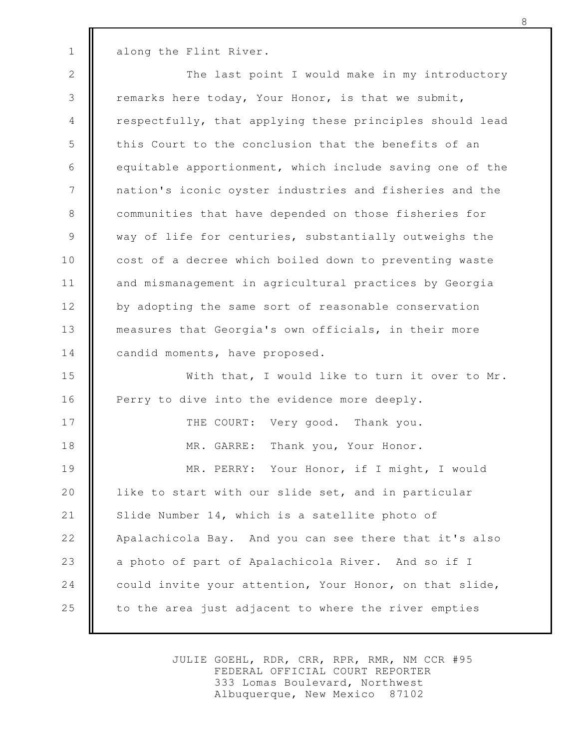along the Flint River.

1

The last point I would make in my introductory remarks here today, Your Honor, is that we submit, respectfully, that applying these principles should lead this Court to the conclusion that the benefits of an equitable apportionment, which include saving one of the nation's iconic oyster industries and fisheries and the communities that have depended on those fisheries for way of life for centuries, substantially outweighs the cost of a decree which boiled down to preventing waste and mismanagement in agricultural practices by Georgia by adopting the same sort of reasonable conservation measures that Georgia's own officials, in their more candid moments, have proposed. With that, I would like to turn it over to Mr. Perry to dive into the evidence more deeply. THE COURT: Very good. Thank you. MR. GARRE: Thank you, Your Honor. MR. PERRY: Your Honor, if I might, I would like to start with our slide set, and in particular Slide Number 14, which is a satellite photo of Apalachicola Bay. And you can see there that it's also 2 3 4 5 6 7 8 9 10 11 12 13 14 15 16 17 18 19 20 21 22

a photo of part of Apalachicola River. And so if I could invite your attention, Your Honor, on that slide, to the area just adjacent to where the river empties 23 24 25

> JULIE GOEHL, RDR, CRR, RPR, RMR, NM CCR #95 FEDERAL OFFICIAL COURT REPORTER 333 Lomas Boulevard, Northwest Albuquerque, New Mexico 87102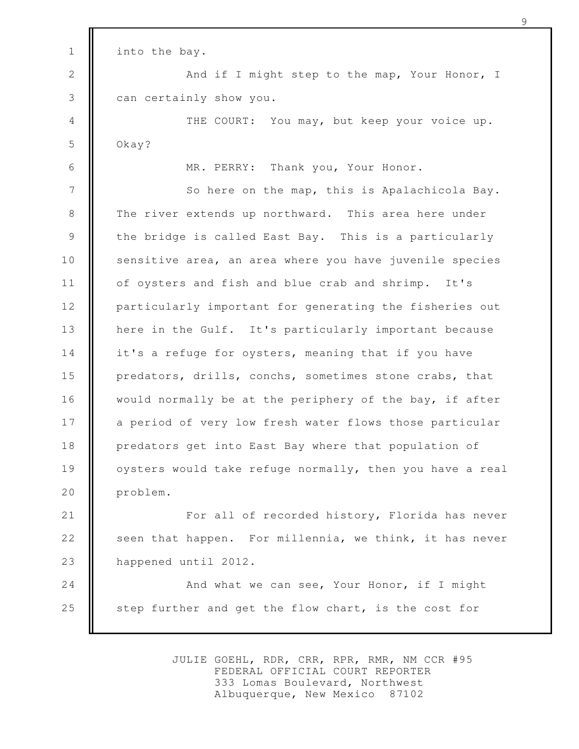into the bay. And if I might step to the map, Your Honor, I can certainly show you. THE COURT: You may, but keep your voice up. Okay? MR. PERRY: Thank you, Your Honor. So here on the map, this is Apalachicola Bay. The river extends up northward. This area here under the bridge is called East Bay. This is a particularly sensitive area, an area where you have juvenile species of oysters and fish and blue crab and shrimp. It's particularly important for generating the fisheries out here in the Gulf. It's particularly important because it's a refuge for oysters, meaning that if you have predators, drills, conchs, sometimes stone crabs, that would normally be at the periphery of the bay, if after a period of very low fresh water flows those particular predators get into East Bay where that population of oysters would take refuge normally, then you have a real problem. For all of recorded history, Florida has never seen that happen. For millennia, we think, it has never happened until 2012. And what we can see, Your Honor, if I might step further and get the flow chart, is the cost for 1 2 3 4 5 6 7 8 9 10 11 12 13 14 15 16 17 18 19 20 21 22 23 24 25

> JULIE GOEHL, RDR, CRR, RPR, RMR, NM CCR #95 FEDERAL OFFICIAL COURT REPORTER 333 Lomas Boulevard, Northwest Albuquerque, New Mexico 87102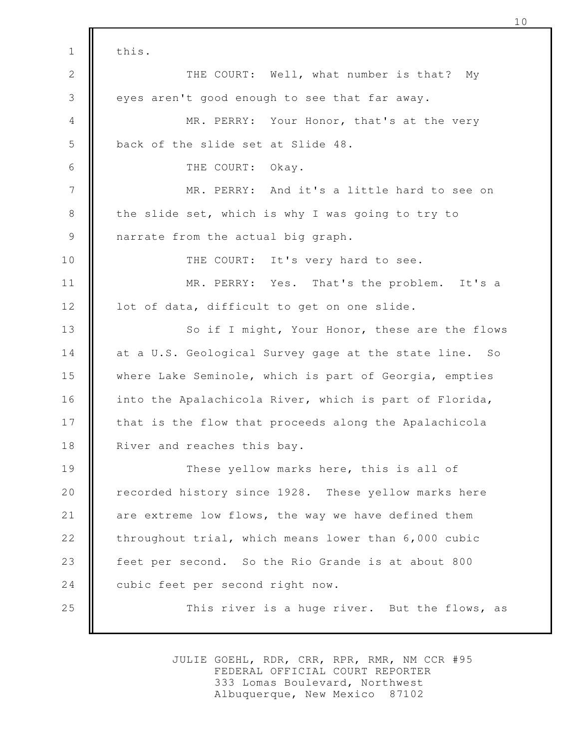this. THE COURT: Well, what number is that? My eyes aren't good enough to see that far away. MR. PERRY: Your Honor, that's at the very back of the slide set at Slide 48. THE COURT: Okay. MR. PERRY: And it's a little hard to see on the slide set, which is why I was going to try to narrate from the actual big graph. THE COURT: It's very hard to see. MR. PERRY: Yes. That's the problem. It's a lot of data, difficult to get on one slide. So if I might, Your Honor, these are the flows at a U.S. Geological Survey gage at the state line. So where Lake Seminole, which is part of Georgia, empties into the Apalachicola River, which is part of Florida, that is the flow that proceeds along the Apalachicola River and reaches this bay. These yellow marks here, this is all of recorded history since 1928. These yellow marks here are extreme low flows, the way we have defined them throughout trial, which means lower than 6,000 cubic feet per second. So the Rio Grande is at about 800 cubic feet per second right now. This river is a huge river. But the flows, as 1 2 3 4 5 6 7 8 9 10 11 12 13 14 15 16 17 18 19 20 21 22 23 24 25

> JULIE GOEHL, RDR, CRR, RPR, RMR, NM CCR #95 FEDERAL OFFICIAL COURT REPORTER 333 Lomas Boulevard, Northwest Albuquerque, New Mexico 87102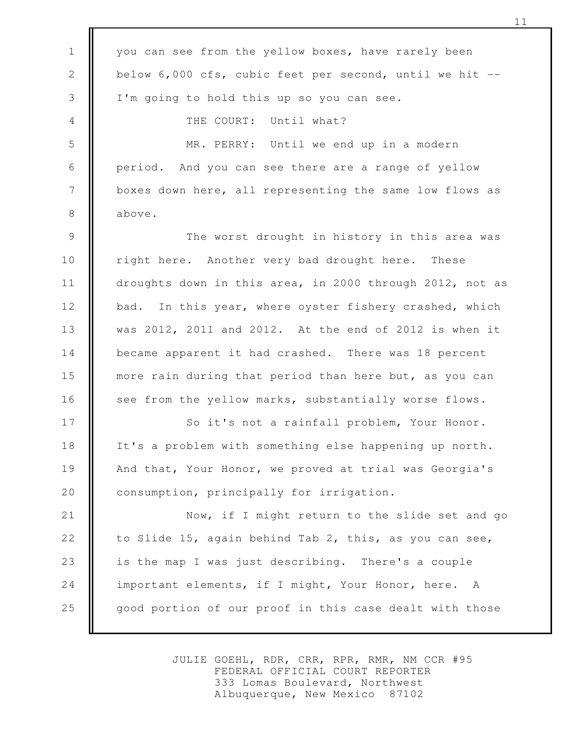you can see from the yellow boxes, have rarely been below 6,000 cfs, cubic feet per second, until we hit -- I'm going to hold this up so you can see. THE COURT: Until what? MR. PERRY: Until we end up in a modern period. And you can see there are a range of yellow boxes down here, all representing the same low flows as above. The worst drought in history in this area was right here. Another very bad drought here. These droughts down in this area, in 2000 through 2012, not as bad. In this year, where oyster fishery crashed, which was 2012, 2011 and 2012. At the end of 2012 is when it became apparent it had crashed. There was 18 percent more rain during that period than here but, as you can see from the yellow marks, substantially worse flows. So it's not a rainfall problem, Your Honor. It's a problem with something else happening up north. And that, Your Honor, we proved at trial was Georgia's consumption, principally for irrigation. Now, if I might return to the slide set and go to Slide 15, again behind Tab 2, this, as you can see, is the map I was just describing. There's a couple important elements, if I might, Your Honor, here. A good portion of our proof in this case dealt with those 1 2 3 4 5 6 7 8 9 10 11 12 13 14 15 16 17 18 19 20 21 22 23 24 25

> JULIE GOEHL, RDR, CRR, RPR, RMR, NM CCR #95 FEDERAL OFFICIAL COURT REPORTER 333 Lomas Boulevard, Northwest Albuquerque, New Mexico 87102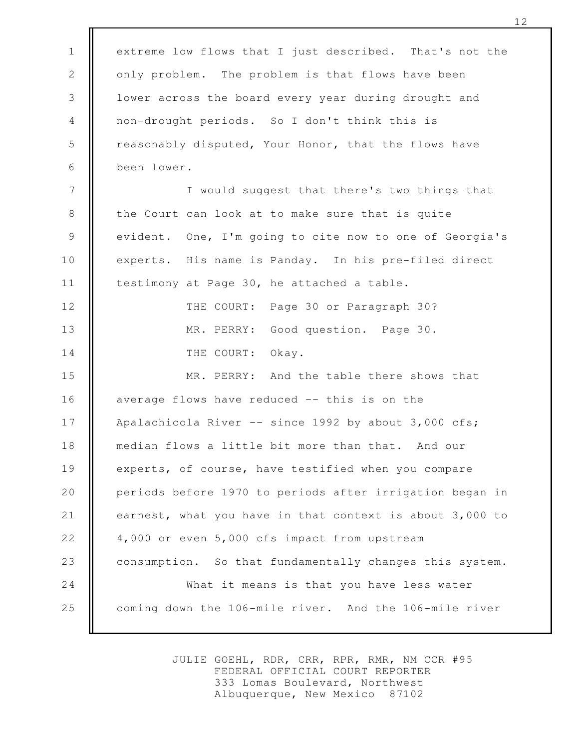extreme low flows that I just described. That's not the only problem. The problem is that flows have been lower across the board every year during drought and non-drought periods. So I don't think this is reasonably disputed, Your Honor, that the flows have been lower. I would suggest that there's two things that the Court can look at to make sure that is quite evident. One, I'm going to cite now to one of Georgia's experts. His name is Panday. In his pre-filed direct testimony at Page 30, he attached a table. THE COURT: Page 30 or Paragraph 30? MR. PERRY: Good question. Page 30. THE COURT: Okay. MR. PERRY: And the table there shows that average flows have reduced -- this is on the Apalachicola River  $--$  since 1992 by about 3,000 cfs; median flows a little bit more than that. And our experts, of course, have testified when you compare periods before 1970 to periods after irrigation began in earnest, what you have in that context is about 3,000 to 4,000 or even 5,000 cfs impact from upstream consumption. So that fundamentally changes this system. What it means is that you have less water coming down the 106-mile river. And the 106-mile river 1 2 3 4 5 6 7 8 9 10 11 12 13 14 15 16 17 18 19 20 21 22 23 24 25

> JULIE GOEHL, RDR, CRR, RPR, RMR, NM CCR #95 FEDERAL OFFICIAL COURT REPORTER 333 Lomas Boulevard, Northwest Albuquerque, New Mexico 87102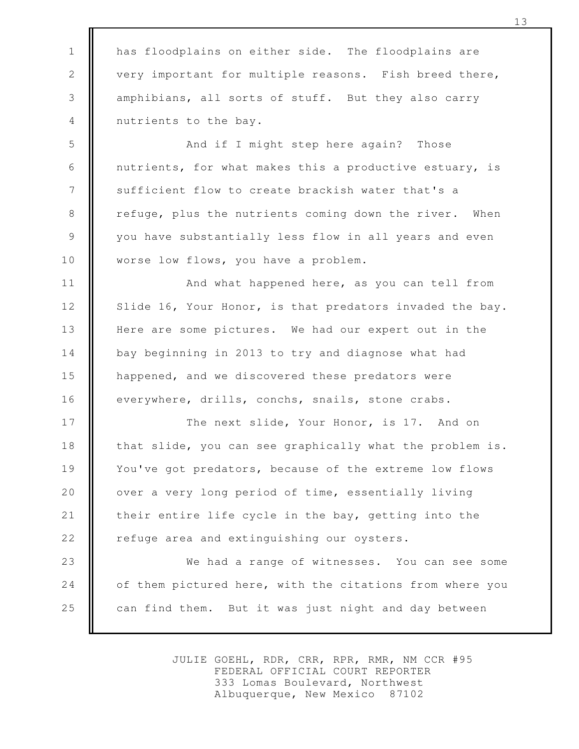has floodplains on either side. The floodplains are very important for multiple reasons. Fish breed there, amphibians, all sorts of stuff. But they also carry nutrients to the bay.

1

2

3

4

5

6

7

8

9

10

And if I might step here again? Those nutrients, for what makes this a productive estuary, is sufficient flow to create brackish water that's a refuge, plus the nutrients coming down the river. When you have substantially less flow in all years and even worse low flows, you have a problem.

And what happened here, as you can tell from Slide 16, Your Honor, is that predators invaded the bay. Here are some pictures. We had our expert out in the bay beginning in 2013 to try and diagnose what had happened, and we discovered these predators were everywhere, drills, conchs, snails, stone crabs. 11 12 13 14 15 16

The next slide, Your Honor, is 17. And on that slide, you can see graphically what the problem is. You've got predators, because of the extreme low flows over a very long period of time, essentially living their entire life cycle in the bay, getting into the refuge area and extinguishing our oysters. 17 18 19 20 21 22

We had a range of witnesses. You can see some of them pictured here, with the citations from where you can find them. But it was just night and day between 23 24 25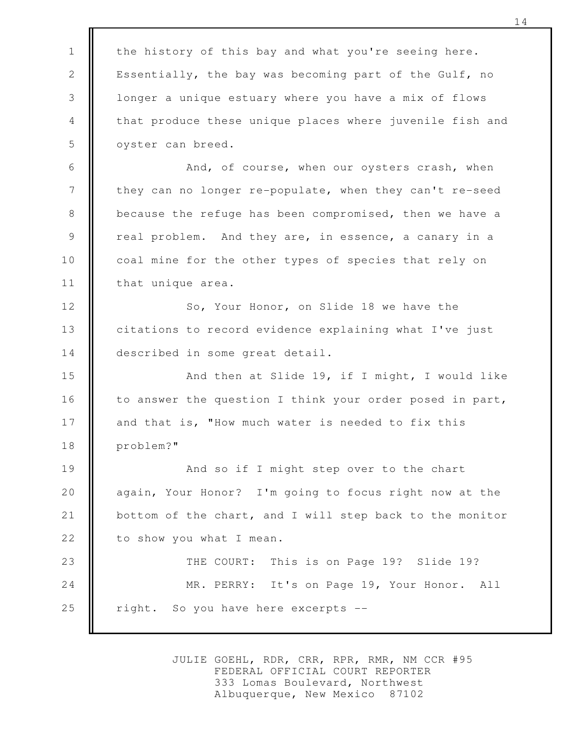the history of this bay and what you're seeing here. Essentially, the bay was becoming part of the Gulf, no longer a unique estuary where you have a mix of flows that produce these unique places where juvenile fish and oyster can breed. And, of course, when our oysters crash, when they can no longer re-populate, when they can't re-seed because the refuge has been compromised, then we have a real problem. And they are, in essence, a canary in a coal mine for the other types of species that rely on that unique area. So, Your Honor, on Slide 18 we have the citations to record evidence explaining what I've just described in some great detail. And then at Slide 19, if I might, I would like to answer the question I think your order posed in part, and that is, "How much water is needed to fix this problem?" And so if I might step over to the chart again, Your Honor? I'm going to focus right now at the bottom of the chart, and I will step back to the monitor to show you what I mean. THE COURT: This is on Page 19? Slide 19? MR. PERRY: It's on Page 19, Your Honor. All right. So you have here excerpts -- 1 2 3 4 5 6 7 8 9 10 11 12 13 14 15 16 17 18 19 20 21 22 23 24 25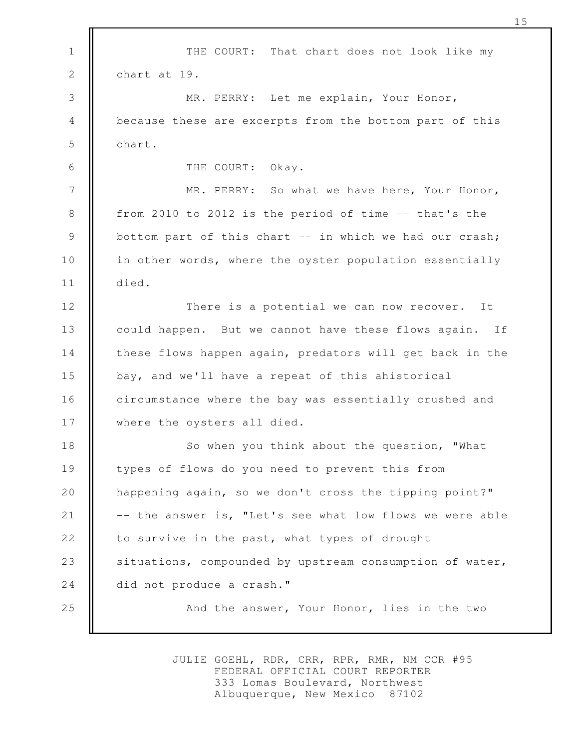THE COURT: That chart does not look like my chart at 19. MR. PERRY: Let me explain, Your Honor, because these are excerpts from the bottom part of this chart. THE COURT: Okay. MR. PERRY: So what we have here, Your Honor, from 2010 to 2012 is the period of time -- that's the bottom part of this chart -- in which we had our crash; in other words, where the oyster population essentially died. There is a potential we can now recover. It could happen. But we cannot have these flows again. If these flows happen again, predators will get back in the bay, and we'll have a repeat of this ahistorical circumstance where the bay was essentially crushed and where the oysters all died. So when you think about the question, "What types of flows do you need to prevent this from happening again, so we don't cross the tipping point?" -- the answer is, "Let's see what low flows we were able to survive in the past, what types of drought situations, compounded by upstream consumption of water, did not produce a crash." And the answer, Your Honor, lies in the two 1 2 3 4 5 6 7 8 9 10 11 12 13 14 15 16 17 18 19 20 21 22 23 24 25

> JULIE GOEHL, RDR, CRR, RPR, RMR, NM CCR #95 FEDERAL OFFICIAL COURT REPORTER 333 Lomas Boulevard, Northwest Albuquerque, New Mexico 87102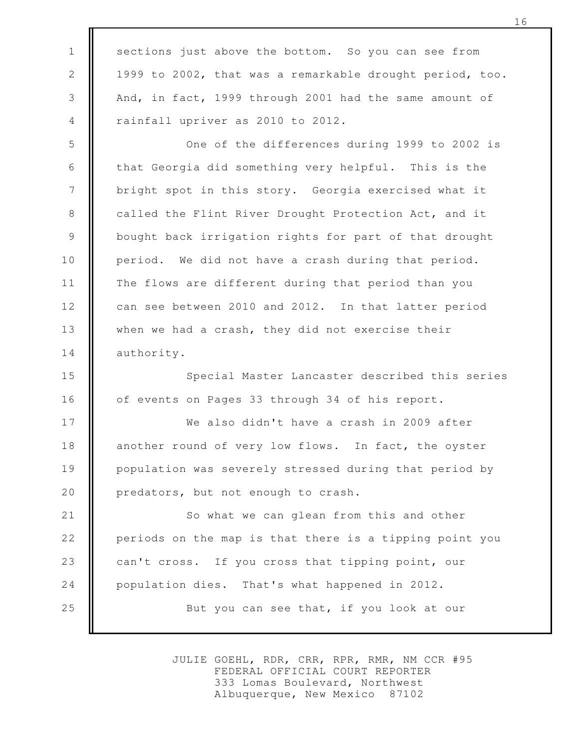sections just above the bottom. So you can see from 1999 to 2002, that was a remarkable drought period, too. And, in fact, 1999 through 2001 had the same amount of rainfall upriver as 2010 to 2012.

1

2

3

4

One of the differences during 1999 to 2002 is that Georgia did something very helpful. This is the bright spot in this story. Georgia exercised what it called the Flint River Drought Protection Act, and it bought back irrigation rights for part of that drought period. We did not have a crash during that period. The flows are different during that period than you can see between 2010 and 2012. In that latter period when we had a crash, they did not exercise their authority. 5 6 7 8 9 10 11 12 13 14

Special Master Lancaster described this series of events on Pages 33 through 34 of his report. 15 16

We also didn't have a crash in 2009 after another round of very low flows. In fact, the oyster population was severely stressed during that period by predators, but not enough to crash. 17 18 19 20

So what we can glean from this and other periods on the map is that there is a tipping point you can't cross. If you cross that tipping point, our population dies. That's what happened in 2012. But you can see that, if you look at our 21 22 23 24 25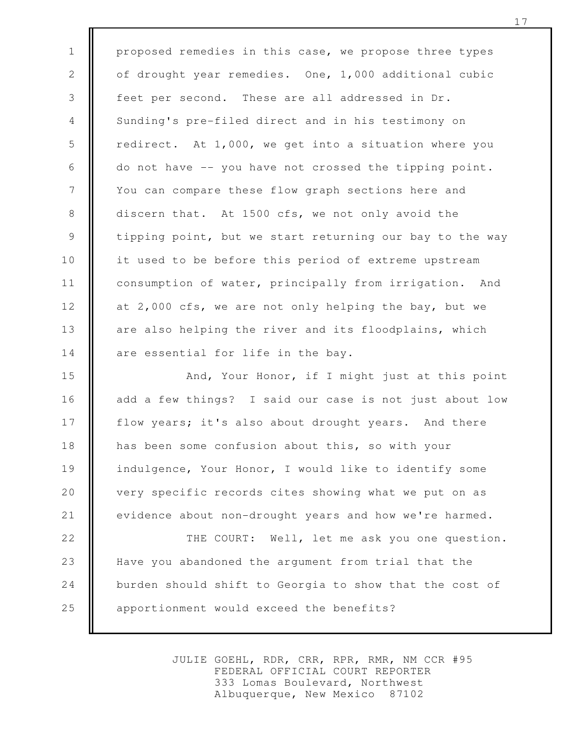proposed remedies in this case, we propose three types of drought year remedies. One, 1,000 additional cubic feet per second. These are all addressed in Dr. Sunding's pre-filed direct and in his testimony on redirect. At 1,000, we get into a situation where you do not have -- you have not crossed the tipping point. You can compare these flow graph sections here and discern that. At 1500 cfs, we not only avoid the tipping point, but we start returning our bay to the way it used to be before this period of extreme upstream consumption of water, principally from irrigation. And at 2,000 cfs, we are not only helping the bay, but we are also helping the river and its floodplains, which are essential for life in the bay. 1 2 3 4 5 6 7 8 9 10 11 12 13 14

And, Your Honor, if I might just at this point add a few things? I said our case is not just about low flow years; it's also about drought years. And there has been some confusion about this, so with your indulgence, Your Honor, I would like to identify some very specific records cites showing what we put on as evidence about non-drought years and how we're harmed. 15 16 17 18 19 20 21

THE COURT: Well, let me ask you one question. Have you abandoned the argument from trial that the burden should shift to Georgia to show that the cost of apportionment would exceed the benefits? 22 23 24 25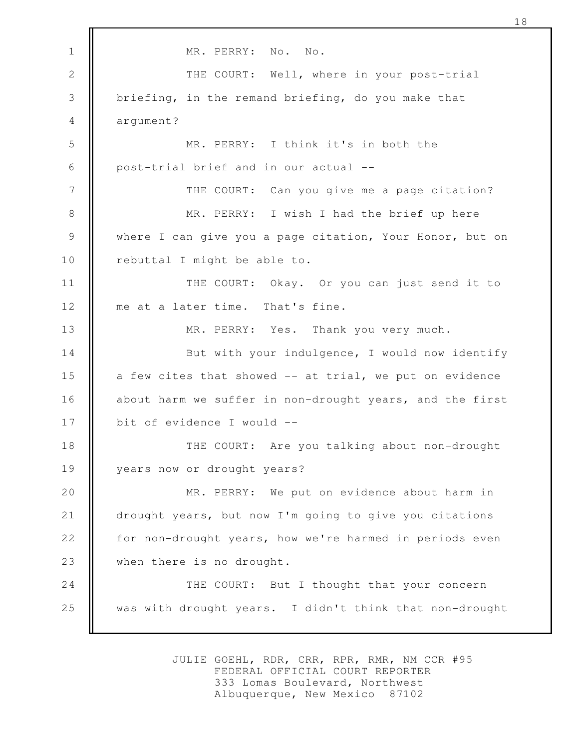MR. PERRY: No. No. THE COURT: Well, where in your post-trial briefing, in the remand briefing, do you make that argument? MR. PERRY: I think it's in both the post-trial brief and in our actual -- THE COURT: Can you give me a page citation? MR. PERRY: I wish I had the brief up here where I can give you a page citation, Your Honor, but on rebuttal I might be able to. THE COURT: Okay. Or you can just send it to me at a later time. That's fine. MR. PERRY: Yes. Thank you very much. But with your indulgence, I would now identify a few cites that showed -- at trial, we put on evidence about harm we suffer in non-drought years, and the first bit of evidence I would -- THE COURT: Are you talking about non-drought years now or drought years? MR. PERRY: We put on evidence about harm in drought years, but now I'm going to give you citations for non-drought years, how we're harmed in periods even when there is no drought. THE COURT: But I thought that your concern was with drought years. I didn't think that non-drought 1 2 3 4 5 6 7 8 9 10 11 12 13 14 15 16 17 18 19 20 21 22 23 24 25

18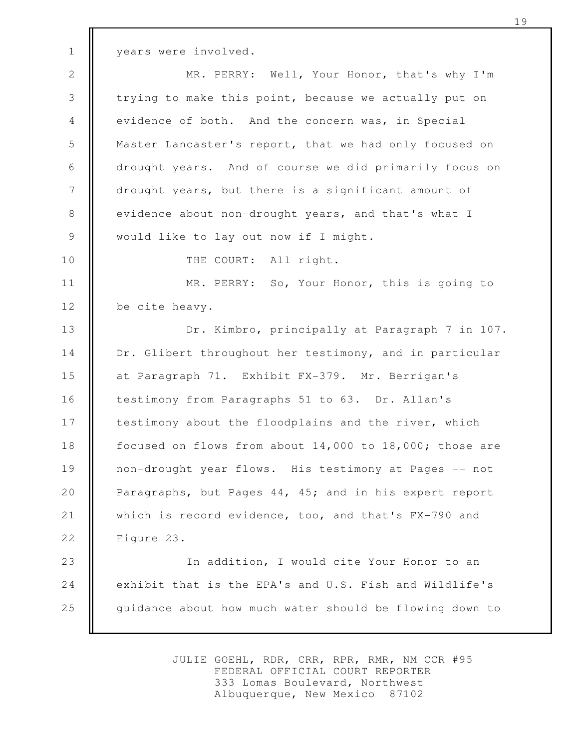years were involved.

MR. PERRY: Well, Your Honor, that's why I'm trying to make this point, because we actually put on evidence of both. And the concern was, in Special Master Lancaster's report, that we had only focused on drought years. And of course we did primarily focus on drought years, but there is a significant amount of evidence about non-drought years, and that's what I would like to lay out now if I might. 2 3 4 5 6 7 8 9

10

1

THE COURT: All right.

MR. PERRY: So, Your Honor, this is going to be cite heavy. 11 12

Dr. Kimbro, principally at Paragraph 7 in 107. Dr. Glibert throughout her testimony, and in particular at Paragraph 71. Exhibit FX-379. Mr. Berrigan's testimony from Paragraphs 51 to 63. Dr. Allan's testimony about the floodplains and the river, which focused on flows from about 14,000 to 18,000; those are non-drought year flows. His testimony at Pages -- not Paragraphs, but Pages 44, 45; and in his expert report which is record evidence, too, and that's FX-790 and Figure 23. 13 14 15 16 17 18 19 20 21 22

In addition, I would cite Your Honor to an exhibit that is the EPA's and U.S. Fish and Wildlife's guidance about how much water should be flowing down to 23 24 25

> JULIE GOEHL, RDR, CRR, RPR, RMR, NM CCR #95 FEDERAL OFFICIAL COURT REPORTER 333 Lomas Boulevard, Northwest Albuquerque, New Mexico 87102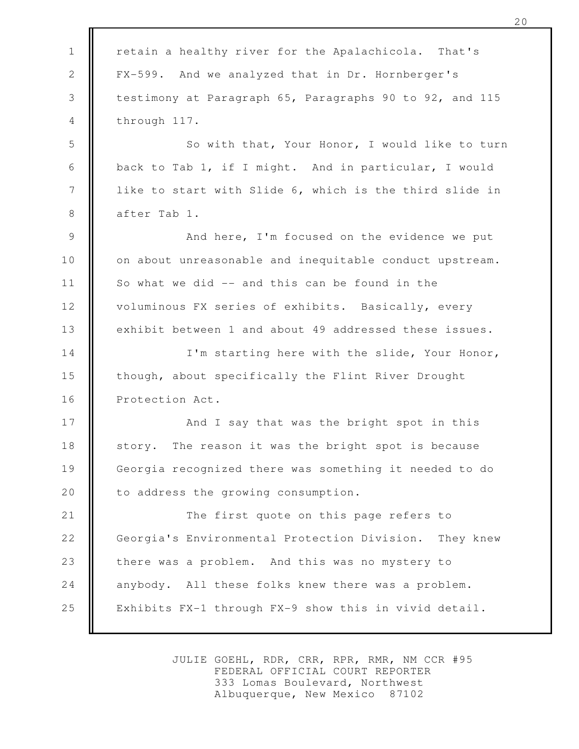| $\mathbf 1$    | retain a healthy river for the Apalachicola. That's       |
|----------------|-----------------------------------------------------------|
| $\mathbf{2}$   | FX-599. And we analyzed that in Dr. Hornberger's          |
| 3              | testimony at Paragraph 65, Paragraphs 90 to 92, and 115   |
| $\overline{4}$ | through 117.                                              |
| 5              | So with that, Your Honor, I would like to turn            |
| 6              | back to Tab 1, if I might. And in particular, I would     |
| $7\phantom{.}$ | like to start with Slide 6, which is the third slide in   |
| $8\,$          | after Tab 1.                                              |
| $\mathsf 9$    | And here, I'm focused on the evidence we put              |
| 10             | on about unreasonable and inequitable conduct upstream.   |
| 11             | So what we did -- and this can be found in the            |
| 12             | voluminous FX series of exhibits. Basically, every        |
| 13             | exhibit between 1 and about 49 addressed these issues.    |
| 14             | I'm starting here with the slide, Your Honor,             |
| 15             | though, about specifically the Flint River Drought        |
| 16             | Protection Act.                                           |
| 17             | And I say that was the bright spot in this                |
| 18             | story. The reason it was the bright spot is because       |
| 19             | Georgia recognized there was something it needed to do    |
| 20             | to address the growing consumption.                       |
| 21             | The first quote on this page refers to                    |
| 22             | Georgia's Environmental Protection Division.<br>They knew |
| 23             | there was a problem. And this was no mystery to           |
| 24             | anybody. All these folks knew there was a problem.        |
| 25             | Exhibits FX-1 through FX-9 show this in vivid detail.     |
|                |                                                           |

 $\blacksquare$ 

JULIE GOEHL, RDR, CRR, RPR, RMR, NM CCR #95 FEDERAL OFFICIAL COURT REPORTER 333 Lomas Boulevard, Northwest Albuquerque, New Mexico 87102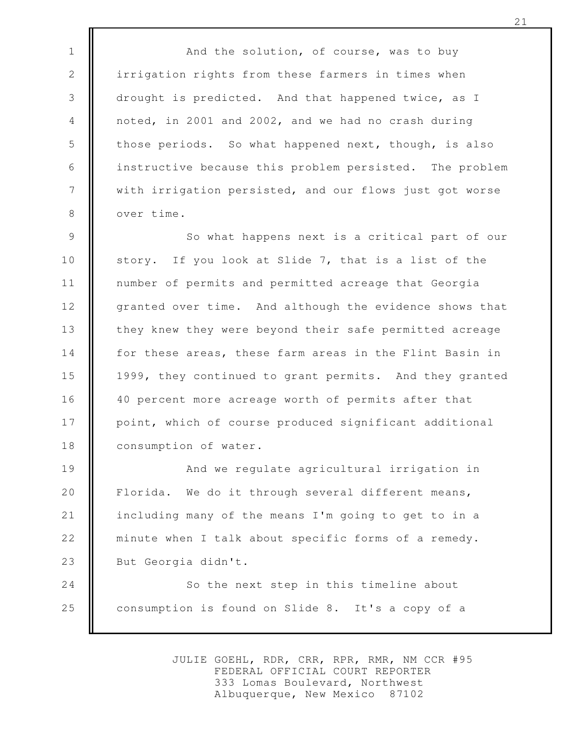And the solution, of course, was to buy irrigation rights from these farmers in times when drought is predicted. And that happened twice, as I noted, in 2001 and 2002, and we had no crash during those periods. So what happened next, though, is also instructive because this problem persisted. The problem with irrigation persisted, and our flows just got worse over time.

1

2

3

4

5

6

7

8

So what happens next is a critical part of our story. If you look at Slide 7, that is a list of the number of permits and permitted acreage that Georgia granted over time. And although the evidence shows that they knew they were beyond their safe permitted acreage for these areas, these farm areas in the Flint Basin in 1999, they continued to grant permits. And they granted 40 percent more acreage worth of permits after that point, which of course produced significant additional consumption of water. 9 10 11 12 13 14 15 16 17 18

And we regulate agricultural irrigation in Florida. We do it through several different means, including many of the means I'm going to get to in a minute when I talk about specific forms of a remedy. But Georgia didn't. 19 20 21 22 23

So the next step in this timeline about consumption is found on Slide 8. It's a copy of a 24 25

> JULIE GOEHL, RDR, CRR, RPR, RMR, NM CCR #95 FEDERAL OFFICIAL COURT REPORTER 333 Lomas Boulevard, Northwest Albuquerque, New Mexico 87102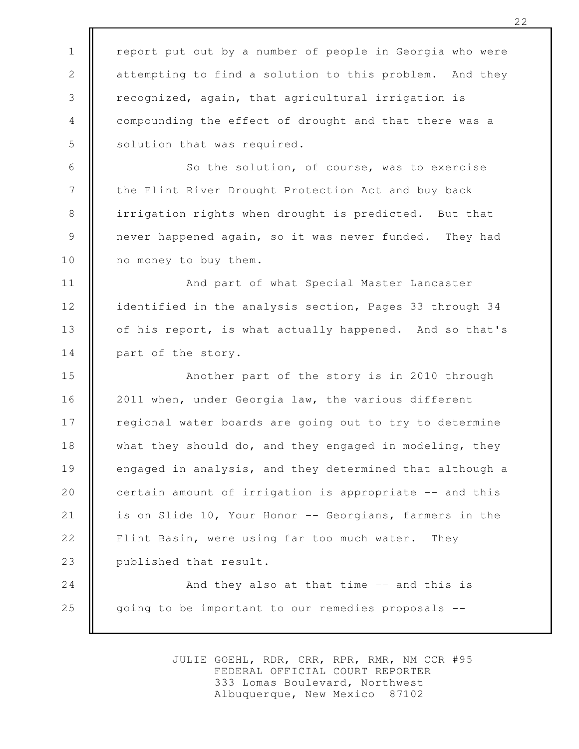report put out by a number of people in Georgia who were attempting to find a solution to this problem. And they recognized, again, that agricultural irrigation is compounding the effect of drought and that there was a solution that was required.

1

2

3

4

5

6

8

9

So the solution, of course, was to exercise the Flint River Drought Protection Act and buy back irrigation rights when drought is predicted. But that never happened again, so it was never funded. They had no money to buy them. 7 10

And part of what Special Master Lancaster identified in the analysis section, Pages 33 through 34 of his report, is what actually happened. And so that's part of the story. 11 12 13 14

Another part of the story is in 2010 through 2011 when, under Georgia law, the various different regional water boards are going out to try to determine what they should do, and they engaged in modeling, they engaged in analysis, and they determined that although a certain amount of irrigation is appropriate -- and this is on Slide 10, Your Honor -- Georgians, farmers in the Flint Basin, were using far too much water. They published that result. 15 16 17 18 19 20 21 22 23

And they also at that time -- and this is going to be important to our remedies proposals -- 24 25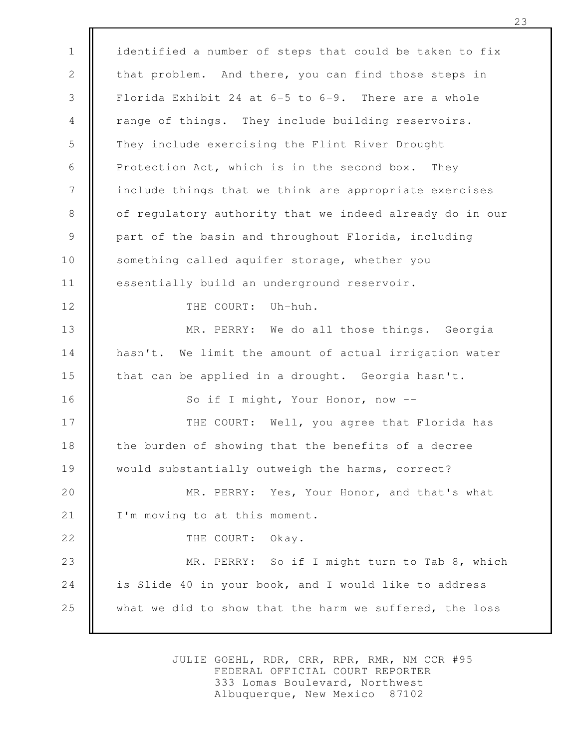identified a number of steps that could be taken to fix that problem. And there, you can find those steps in Florida Exhibit 24 at 6-5 to 6-9. There are a whole range of things. They include building reservoirs. They include exercising the Flint River Drought Protection Act, which is in the second box. They include things that we think are appropriate exercises of regulatory authority that we indeed already do in our part of the basin and throughout Florida, including something called aquifer storage, whether you essentially build an underground reservoir. THE COURT: Uh-huh. MR. PERRY: We do all those things. Georgia hasn't. We limit the amount of actual irrigation water that can be applied in a drought. Georgia hasn't. So if I might, Your Honor, now -- THE COURT: Well, you agree that Florida has the burden of showing that the benefits of a decree would substantially outweigh the harms, correct? MR. PERRY: Yes, Your Honor, and that's what I'm moving to at this moment. THE COURT: Okay. MR. PERRY: So if I might turn to Tab 8, which is Slide 40 in your book, and I would like to address what we did to show that the harm we suffered, the loss 1 2 3 4 5 6 7 8 9 10 11 12 13 14 15 16 17 18 19 20 21 22 23 24 25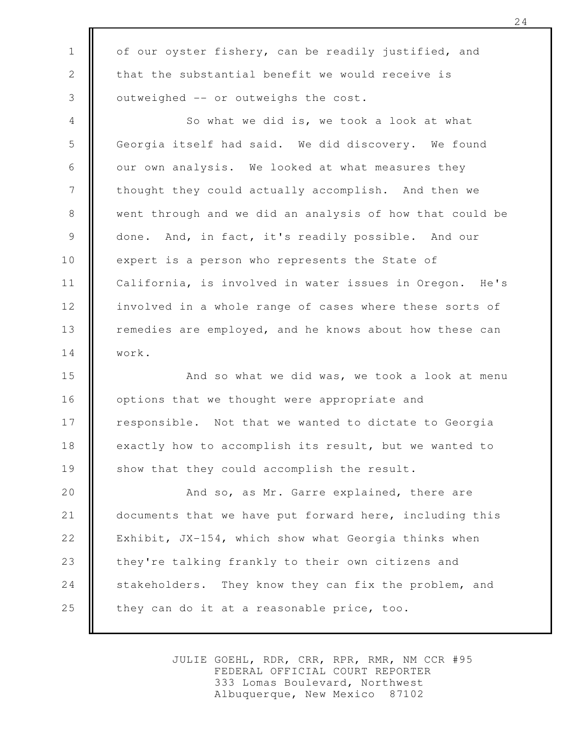of our oyster fishery, can be readily justified, and that the substantial benefit we would receive is outweighed -- or outweighs the cost.

1

2

3

So what we did is, we took a look at what Georgia itself had said. We did discovery. We found our own analysis. We looked at what measures they thought they could actually accomplish. And then we went through and we did an analysis of how that could be done. And, in fact, it's readily possible. And our expert is a person who represents the State of California, is involved in water issues in Oregon. He's involved in a whole range of cases where these sorts of remedies are employed, and he knows about how these can work. 4 5 6 7 8 9 10 11 12 13 14

And so what we did was, we took a look at menu options that we thought were appropriate and responsible. Not that we wanted to dictate to Georgia exactly how to accomplish its result, but we wanted to show that they could accomplish the result. 15 16 17 18 19

And so, as Mr. Garre explained, there are documents that we have put forward here, including this Exhibit, JX-154, which show what Georgia thinks when they're talking frankly to their own citizens and stakeholders. They know they can fix the problem, and they can do it at a reasonable price, too. 20 21 22 23 24 25

> JULIE GOEHL, RDR, CRR, RPR, RMR, NM CCR #95 FEDERAL OFFICIAL COURT REPORTER 333 Lomas Boulevard, Northwest Albuquerque, New Mexico 87102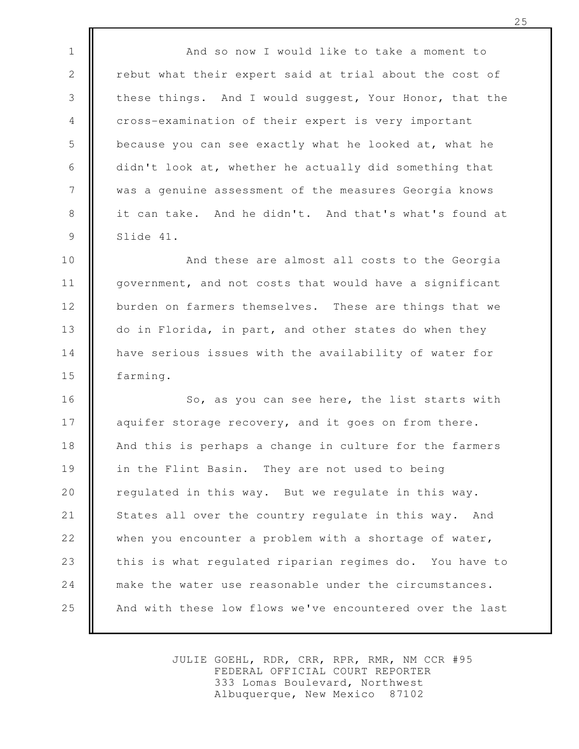And so now I would like to take a moment to rebut what their expert said at trial about the cost of these things. And I would suggest, Your Honor, that the cross-examination of their expert is very important because you can see exactly what he looked at, what he didn't look at, whether he actually did something that was a genuine assessment of the measures Georgia knows it can take. And he didn't. And that's what's found at Slide 41.

1

2

3

4

5

6

7

8

9

And these are almost all costs to the Georgia government, and not costs that would have a significant burden on farmers themselves. These are things that we do in Florida, in part, and other states do when they have serious issues with the availability of water for farming. 10 11 12 13 14 15

So, as you can see here, the list starts with aquifer storage recovery, and it goes on from there. And this is perhaps a change in culture for the farmers in the Flint Basin. They are not used to being regulated in this way. But we regulate in this way. States all over the country regulate in this way. And when you encounter a problem with a shortage of water, this is what regulated riparian regimes do. You have to make the water use reasonable under the circumstances. And with these low flows we've encountered over the last 16 17 18 19 20 21 22 23 24 25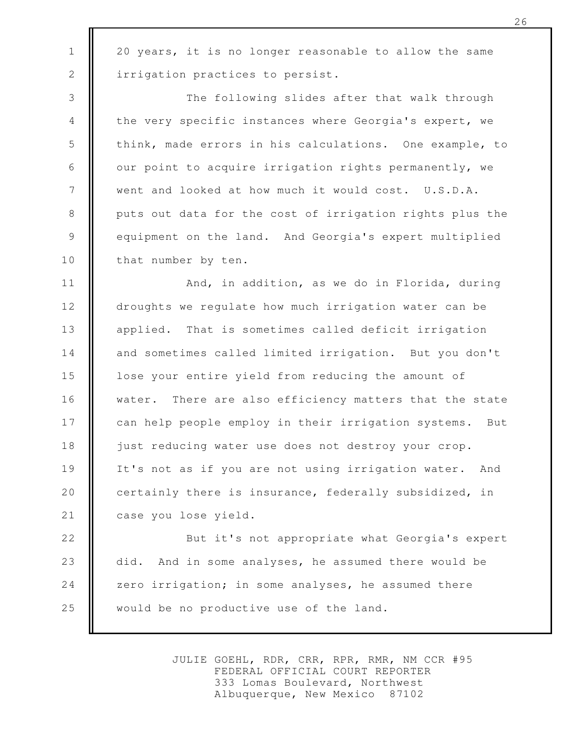20 years, it is no longer reasonable to allow the same irrigation practices to persist.

1

2

3

4

5

6

7

8

9

10

The following slides after that walk through the very specific instances where Georgia's expert, we think, made errors in his calculations. One example, to our point to acquire irrigation rights permanently, we went and looked at how much it would cost. U.S.D.A. puts out data for the cost of irrigation rights plus the equipment on the land. And Georgia's expert multiplied that number by ten.

And, in addition, as we do in Florida, during droughts we regulate how much irrigation water can be applied. That is sometimes called deficit irrigation and sometimes called limited irrigation. But you don't lose your entire yield from reducing the amount of water. There are also efficiency matters that the state can help people employ in their irrigation systems. But just reducing water use does not destroy your crop. It's not as if you are not using irrigation water. And certainly there is insurance, federally subsidized, in case you lose yield. 11 12 13 14 15 16 17 18 19 20 21

But it's not appropriate what Georgia's expert did. And in some analyses, he assumed there would be zero irrigation; in some analyses, he assumed there would be no productive use of the land. 22 23 24 25

> JULIE GOEHL, RDR, CRR, RPR, RMR, NM CCR #95 FEDERAL OFFICIAL COURT REPORTER 333 Lomas Boulevard, Northwest Albuquerque, New Mexico 87102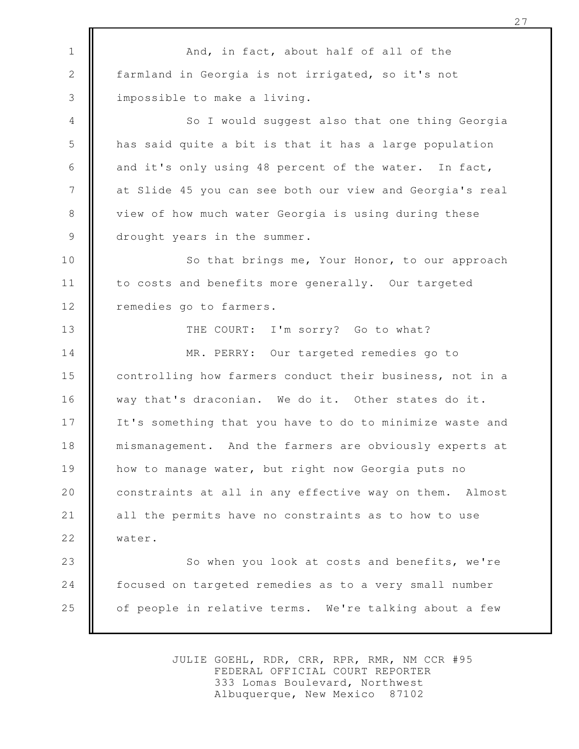And, in fact, about half of all of the farmland in Georgia is not irrigated, so it's not impossible to make a living. So I would suggest also that one thing Georgia has said quite a bit is that it has a large population and it's only using 48 percent of the water. In fact, at Slide 45 you can see both our view and Georgia's real view of how much water Georgia is using during these drought years in the summer. So that brings me, Your Honor, to our approach to costs and benefits more generally. Our targeted remedies go to farmers. THE COURT: I'm sorry? Go to what? MR. PERRY: Our targeted remedies go to controlling how farmers conduct their business, not in a way that's draconian. We do it. Other states do it. It's something that you have to do to minimize waste and mismanagement. And the farmers are obviously experts at how to manage water, but right now Georgia puts no constraints at all in any effective way on them. Almost all the permits have no constraints as to how to use water. So when you look at costs and benefits, we're focused on targeted remedies as to a very small number of people in relative terms. We're talking about a few 1 2 3 4 5 6 7 8 9 10 11 12 13 14 15 16 17 18 19 20 21 22 23 24 25

> JULIE GOEHL, RDR, CRR, RPR, RMR, NM CCR #95 FEDERAL OFFICIAL COURT REPORTER 333 Lomas Boulevard, Northwest Albuquerque, New Mexico 87102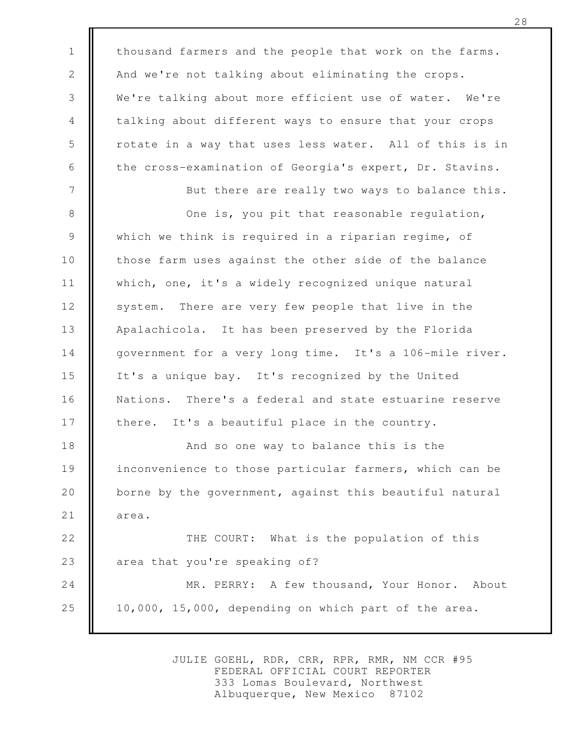thousand farmers and the people that work on the farms. And we're not talking about eliminating the crops. We're talking about more efficient use of water. We're talking about different ways to ensure that your crops rotate in a way that uses less water. All of this is in the cross-examination of Georgia's expert, Dr. Stavins. But there are really two ways to balance this. One is, you pit that reasonable regulation, which we think is required in a riparian regime, of those farm uses against the other side of the balance which, one, it's a widely recognized unique natural system. There are very few people that live in the Apalachicola. It has been preserved by the Florida government for a very long time. It's a 106-mile river. It's a unique bay. It's recognized by the United Nations. There's a federal and state estuarine reserve there. It's a beautiful place in the country. And so one way to balance this is the inconvenience to those particular farmers, which can be borne by the government, against this beautiful natural area. THE COURT: What is the population of this area that you're speaking of? MR. PERRY: A few thousand, Your Honor. About 10,000, 15,000, depending on which part of the area. 1 2 3 4 5 6 7 8 9 10 11 12 13 14 15 16 17 18 19 20 21 22 23 24 25

> JULIE GOEHL, RDR, CRR, RPR, RMR, NM CCR #95 FEDERAL OFFICIAL COURT REPORTER 333 Lomas Boulevard, Northwest Albuquerque, New Mexico 87102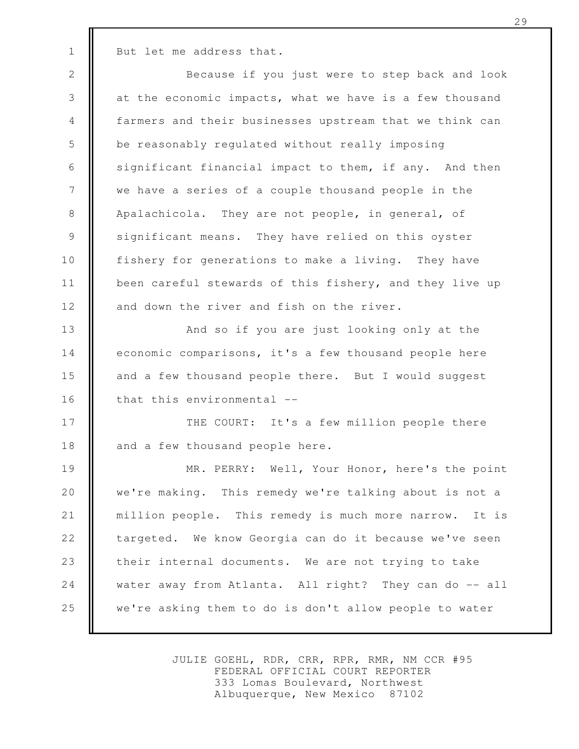But let me address that.

1

Because if you just were to step back and look at the economic impacts, what we have is a few thousand farmers and their businesses upstream that we think can be reasonably regulated without really imposing significant financial impact to them, if any. And then we have a series of a couple thousand people in the Apalachicola. They are not people, in general, of significant means. They have relied on this oyster fishery for generations to make a living. They have been careful stewards of this fishery, and they live up and down the river and fish on the river. And so if you are just looking only at the 2 3 4 5 6 7 8 9 10 11 12 13

economic comparisons, it's a few thousand people here and a few thousand people there. But I would suggest that this environmental -- 14 15 16

THE COURT: It's a few million people there and a few thousand people here. 17 18

MR. PERRY: Well, Your Honor, here's the point we're making. This remedy we're talking about is not a million people. This remedy is much more narrow. It is targeted. We know Georgia can do it because we've seen their internal documents. We are not trying to take water away from Atlanta. All right? They can do -- all we're asking them to do is don't allow people to water 19 20 21 22 23 24 25

> JULIE GOEHL, RDR, CRR, RPR, RMR, NM CCR #95 FEDERAL OFFICIAL COURT REPORTER 333 Lomas Boulevard, Northwest Albuquerque, New Mexico 87102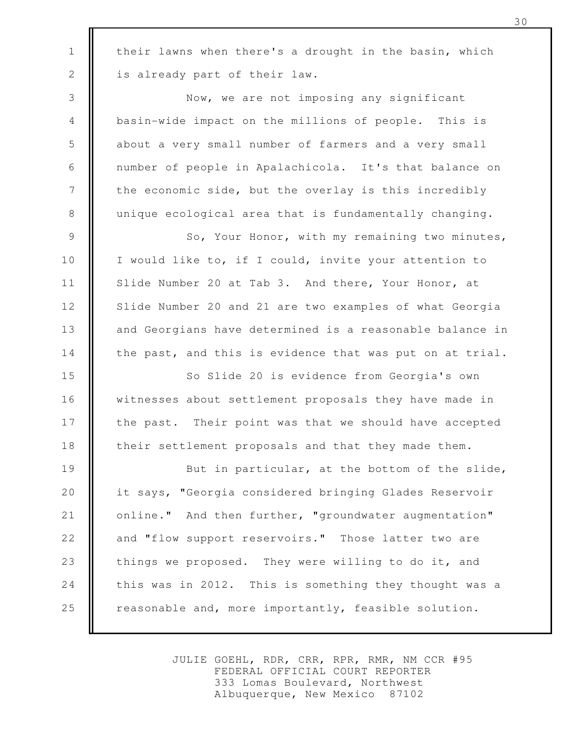their lawns when there's a drought in the basin, which is already part of their law.

1

2

3

4

5

6

7

8

Now, we are not imposing any significant basin-wide impact on the millions of people. This is about a very small number of farmers and a very small number of people in Apalachicola. It's that balance on the economic side, but the overlay is this incredibly unique ecological area that is fundamentally changing.

So, Your Honor, with my remaining two minutes, I would like to, if I could, invite your attention to Slide Number 20 at Tab 3. And there, Your Honor, at Slide Number 20 and 21 are two examples of what Georgia and Georgians have determined is a reasonable balance in the past, and this is evidence that was put on at trial. 9 10 11 12 13 14

So Slide 20 is evidence from Georgia's own witnesses about settlement proposals they have made in the past. Their point was that we should have accepted their settlement proposals and that they made them. 15 16 17 18

But in particular, at the bottom of the slide, it says, "Georgia considered bringing Glades Reservoir online." And then further, "groundwater augmentation" and "flow support reservoirs." Those latter two are things we proposed. They were willing to do it, and this was in 2012. This is something they thought was a reasonable and, more importantly, feasible solution. 19 20 21 22 23 24 25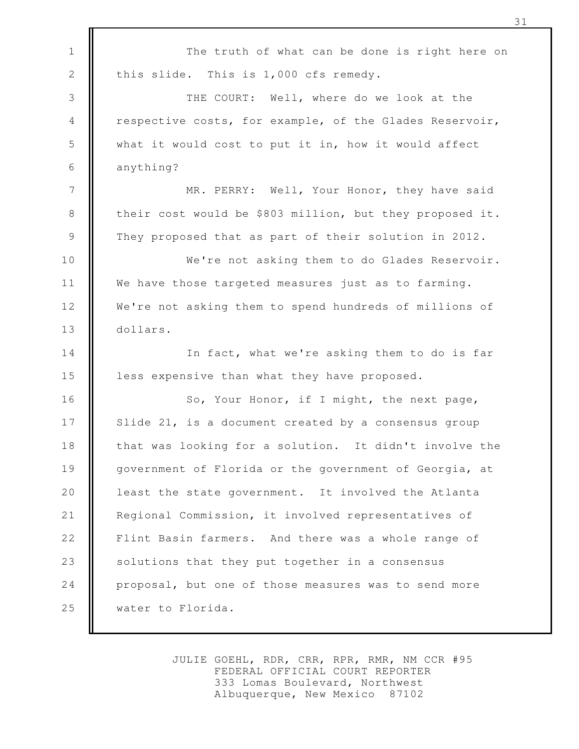The truth of what can be done is right here on this slide. This is 1,000 cfs remedy. THE COURT: Well, where do we look at the respective costs, for example, of the Glades Reservoir, what it would cost to put it in, how it would affect anything? MR. PERRY: Well, Your Honor, they have said their cost would be \$803 million, but they proposed it. They proposed that as part of their solution in 2012. We're not asking them to do Glades Reservoir. We have those targeted measures just as to farming. We're not asking them to spend hundreds of millions of dollars. In fact, what we're asking them to do is far less expensive than what they have proposed. So, Your Honor, if I might, the next page, Slide 21, is a document created by a consensus group that was looking for a solution. It didn't involve the government of Florida or the government of Georgia, at least the state government. It involved the Atlanta Regional Commission, it involved representatives of Flint Basin farmers. And there was a whole range of solutions that they put together in a consensus proposal, but one of those measures was to send more water to Florida. 1 2 3 4 5 6 7 8 9 10 11 12 13 14 15 16 17 18 19 20 21 22 23 24 25

> JULIE GOEHL, RDR, CRR, RPR, RMR, NM CCR #95 FEDERAL OFFICIAL COURT REPORTER 333 Lomas Boulevard, Northwest Albuquerque, New Mexico 87102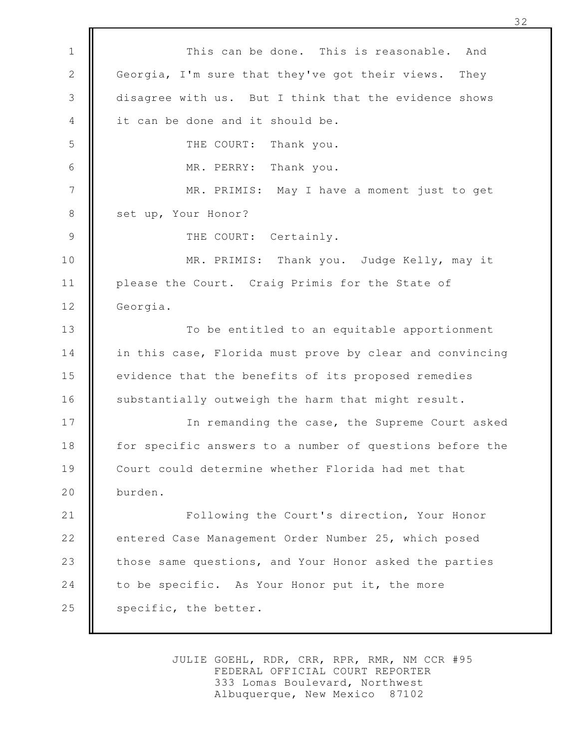This can be done. This is reasonable. And Georgia, I'm sure that they've got their views. They disagree with us. But I think that the evidence shows it can be done and it should be. THE COURT: Thank you. MR. PERRY: Thank you. MR. PRIMIS: May I have a moment just to get set up, Your Honor? THE COURT: Certainly. MR. PRIMIS: Thank you. Judge Kelly, may it please the Court. Craig Primis for the State of Georgia. To be entitled to an equitable apportionment in this case, Florida must prove by clear and convincing evidence that the benefits of its proposed remedies substantially outweigh the harm that might result. In remanding the case, the Supreme Court asked for specific answers to a number of questions before the Court could determine whether Florida had met that burden. Following the Court's direction, Your Honor entered Case Management Order Number 25, which posed those same questions, and Your Honor asked the parties to be specific. As Your Honor put it, the more specific, the better. 1 2 3 4 5 6 7 8 9 10 11 12 13 14 15 16 17 18 19 20 21 22 23 24 25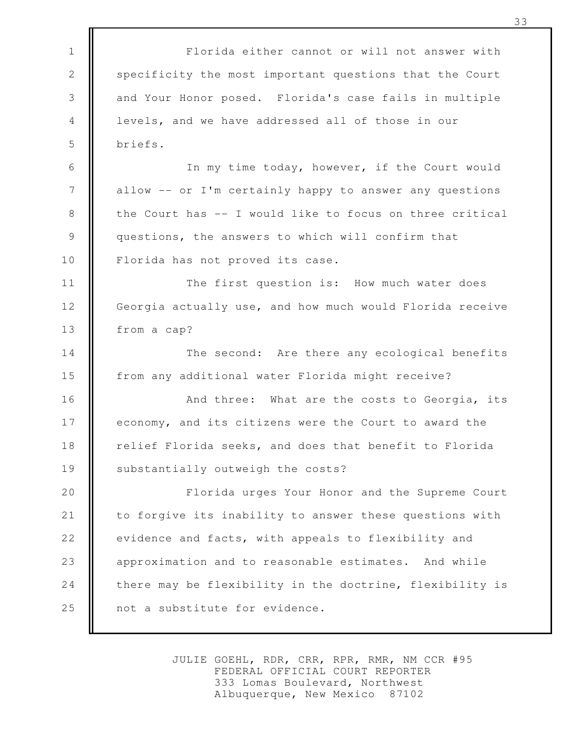Florida either cannot or will not answer with specificity the most important questions that the Court and Your Honor posed. Florida's case fails in multiple levels, and we have addressed all of those in our briefs. In my time today, however, if the Court would allow -- or I'm certainly happy to answer any questions the Court has -- I would like to focus on three critical questions, the answers to which will confirm that Florida has not proved its case. The first question is: How much water does Georgia actually use, and how much would Florida receive from a cap? The second: Are there any ecological benefits from any additional water Florida might receive? And three: What are the costs to Georgia, its economy, and its citizens were the Court to award the relief Florida seeks, and does that benefit to Florida substantially outweigh the costs? Florida urges Your Honor and the Supreme Court to forgive its inability to answer these questions with evidence and facts, with appeals to flexibility and approximation and to reasonable estimates. And while there may be flexibility in the doctrine, flexibility is not a substitute for evidence. 1 2 3 4 5 6 7 8 9 10 11 12 13 14 15 16 17 18 19 20 21 22 23 24 25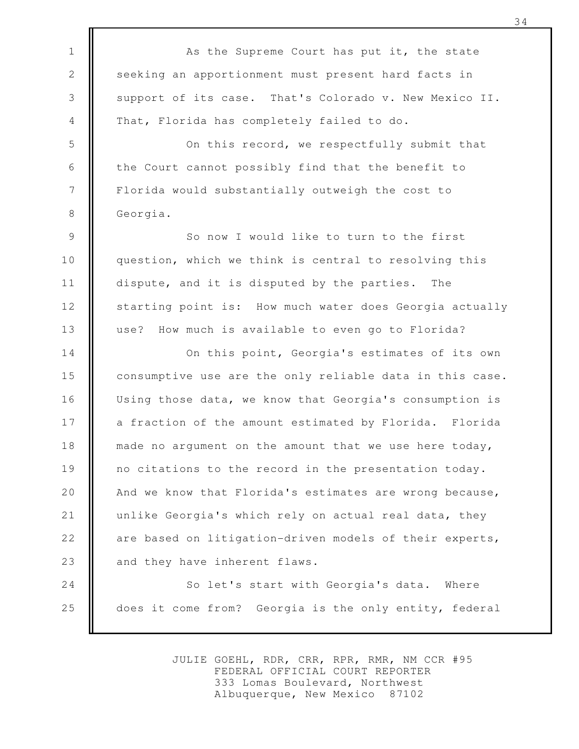As the Supreme Court has put it, the state seeking an apportionment must present hard facts in support of its case. That's Colorado v. New Mexico II. That, Florida has completely failed to do. On this record, we respectfully submit that the Court cannot possibly find that the benefit to Florida would substantially outweigh the cost to Georgia. So now I would like to turn to the first question, which we think is central to resolving this dispute, and it is disputed by the parties. The starting point is: How much water does Georgia actually use? How much is available to even go to Florida? On this point, Georgia's estimates of its own consumptive use are the only reliable data in this case. Using those data, we know that Georgia's consumption is a fraction of the amount estimated by Florida. Florida made no argument on the amount that we use here today, no citations to the record in the presentation today. And we know that Florida's estimates are wrong because, unlike Georgia's which rely on actual real data, they are based on litigation-driven models of their experts, and they have inherent flaws. So let's start with Georgia's data. Where does it come from? Georgia is the only entity, federal 1 2 3 4 5 6 7 8 9 10 11 12 13 14 15 16 17 18 19 20 21 22 23 24 25

> JULIE GOEHL, RDR, CRR, RPR, RMR, NM CCR #95 FEDERAL OFFICIAL COURT REPORTER 333 Lomas Boulevard, Northwest Albuquerque, New Mexico 87102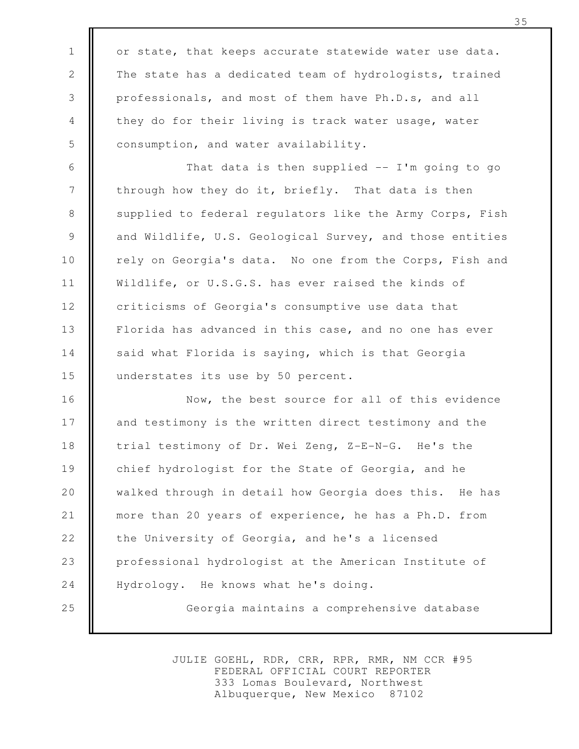or state, that keeps accurate statewide water use data. The state has a dedicated team of hydrologists, trained professionals, and most of them have Ph.D.s, and all they do for their living is track water usage, water consumption, and water availability.

1

2

3

4

5

That data is then supplied  $-$  I'm going to go through how they do it, briefly. That data is then supplied to federal regulators like the Army Corps, Fish and Wildlife, U.S. Geological Survey, and those entities rely on Georgia's data. No one from the Corps, Fish and Wildlife, or U.S.G.S. has ever raised the kinds of criticisms of Georgia's consumptive use data that Florida has advanced in this case, and no one has ever said what Florida is saying, which is that Georgia understates its use by 50 percent. 6 7 8 9 10 11 12 13 14 15

Now, the best source for all of this evidence and testimony is the written direct testimony and the trial testimony of Dr. Wei Zeng, Z-E-N-G. He's the chief hydrologist for the State of Georgia, and he walked through in detail how Georgia does this. He has more than 20 years of experience, he has a Ph.D. from the University of Georgia, and he's a licensed professional hydrologist at the American Institute of Hydrology. He knows what he's doing. Georgia maintains a comprehensive database 16 17 18 19 20 21 22 23 24 25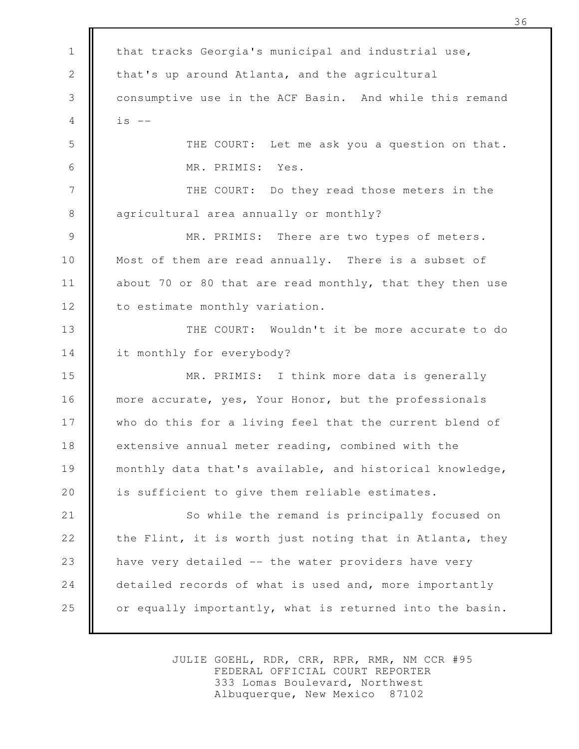that tracks Georgia's municipal and industrial use, that's up around Atlanta, and the agricultural consumptive use in the ACF Basin. And while this remand  $is$   $--$ THE COURT: Let me ask you a question on that. MR. PRIMIS: Yes. THE COURT: Do they read those meters in the agricultural area annually or monthly? MR. PRIMIS: There are two types of meters. Most of them are read annually. There is a subset of about 70 or 80 that are read monthly, that they then use to estimate monthly variation. THE COURT: Wouldn't it be more accurate to do it monthly for everybody? MR. PRIMIS: I think more data is generally more accurate, yes, Your Honor, but the professionals who do this for a living feel that the current blend of extensive annual meter reading, combined with the monthly data that's available, and historical knowledge, is sufficient to give them reliable estimates. So while the remand is principally focused on the Flint, it is worth just noting that in Atlanta, they have very detailed -- the water providers have very detailed records of what is used and, more importantly or equally importantly, what is returned into the basin. 1 2 3 4 5 6 7 8 9 10 11 12 13 14 15 16 17 18 19 20 21 22 23 24 25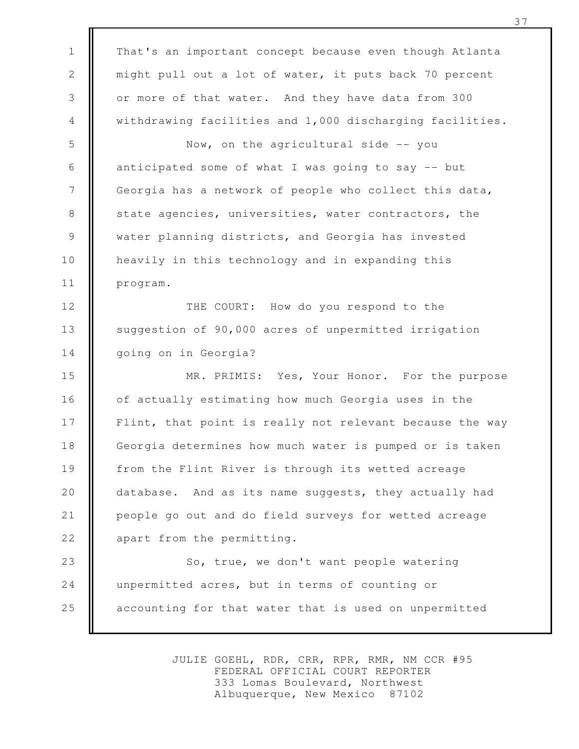That's an important concept because even though Atlanta might pull out a lot of water, it puts back 70 percent or more of that water. And they have data from 300 withdrawing facilities and 1,000 discharging facilities. Now, on the agricultural side -- you anticipated some of what I was going to say -- but Georgia has a network of people who collect this data, state agencies, universities, water contractors, the water planning districts, and Georgia has invested heavily in this technology and in expanding this program. THE COURT: How do you respond to the suggestion of 90,000 acres of unpermitted irrigation going on in Georgia? MR. PRIMIS: Yes, Your Honor. For the purpose of actually estimating how much Georgia uses in the Flint, that point is really not relevant because the way Georgia determines how much water is pumped or is taken from the Flint River is through its wetted acreage database. And as its name suggests, they actually had people go out and do field surveys for wetted acreage apart from the permitting. So, true, we don't want people watering unpermitted acres, but in terms of counting or accounting for that water that is used on unpermitted 1 2 3 4 5 6 7 8 9 10 11 12 13 14 15 16 17 18 19 20 21 22 23 24 25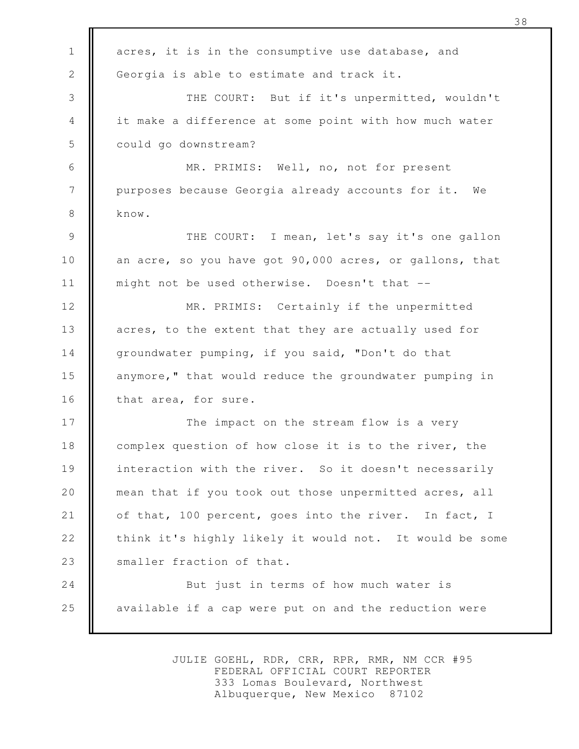| $\mathbf{1}$   | acres, it is in the consumptive use database, and       |
|----------------|---------------------------------------------------------|
| 2              | Georgia is able to estimate and track it.               |
| 3              | THE COURT: But if it's unpermitted, wouldn't            |
| 4              | it make a difference at some point with how much water  |
| 5              | could go downstream?                                    |
| 6              | MR. PRIMIS: Well, no, not for present                   |
| $\overline{7}$ | purposes because Georgia already accounts for it. We    |
| 8              | know.                                                   |
| 9              | THE COURT: I mean, let's say it's one gallon            |
| 10             | an acre, so you have got 90,000 acres, or gallons, that |
| 11             | might not be used otherwise. Doesn't that --            |
| 12             | MR. PRIMIS: Certainly if the unpermitted                |
| 13             | acres, to the extent that they are actually used for    |
| 14             | groundwater pumping, if you said, "Don't do that        |
| 15             | anymore," that would reduce the groundwater pumping in  |
| 16             | that area, for sure.                                    |
| 17             | The impact on the stream flow is a very                 |
| 18             | complex question of how close it is to the river, the   |
| 19             | interaction with the river. So it doesn't necessarily   |
| 20             | mean that if you took out those unpermitted acres, all  |
| 21             | of that, 100 percent, goes into the river. In fact, I   |
| 22             | think it's highly likely it would not. It would be some |
| 23             | smaller fraction of that.                               |
| 24             | But just in terms of how much water is                  |
| 25             | available if a cap were put on and the reduction were   |
|                |                                                         |

JULIE GOEHL, RDR, CRR, RPR, RMR, NM CCR #95 FEDERAL OFFICIAL COURT REPORTER 333 Lomas Boulevard, Northwest Albuquerque, New Mexico 87102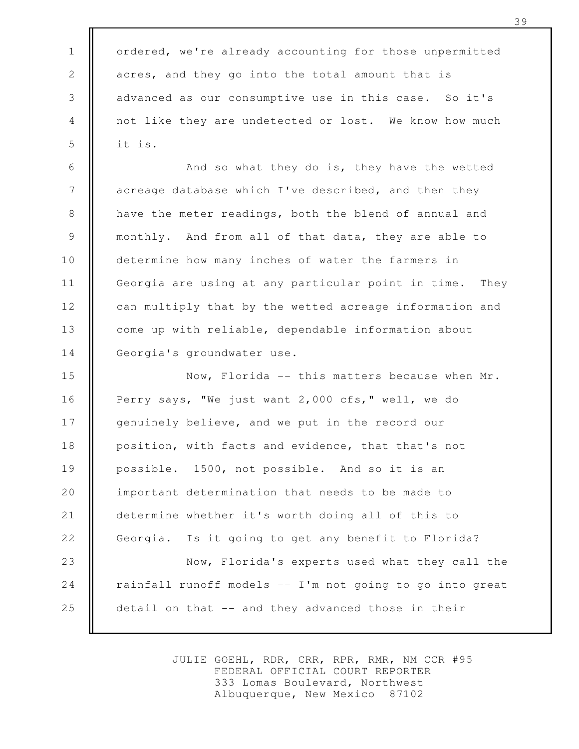ordered, we're already accounting for those unpermitted acres, and they go into the total amount that is advanced as our consumptive use in this case. So it's not like they are undetected or lost. We know how much it is.

1

2

3

4

5

And so what they do is, they have the wetted acreage database which I've described, and then they have the meter readings, both the blend of annual and monthly. And from all of that data, they are able to determine how many inches of water the farmers in Georgia are using at any particular point in time. They can multiply that by the wetted acreage information and come up with reliable, dependable information about Georgia's groundwater use. 6 7 8 9 10 11 12 13 14

Now, Florida -- this matters because when Mr. Perry says, "We just want 2,000 cfs," well, we do genuinely believe, and we put in the record our position, with facts and evidence, that that's not possible. 1500, not possible. And so it is an important determination that needs to be made to determine whether it's worth doing all of this to Georgia. Is it going to get any benefit to Florida? Now, Florida's experts used what they call the rainfall runoff models -- I'm not going to go into great detail on that -- and they advanced those in their 15 16 17 18 19 20 21 22 23 24 25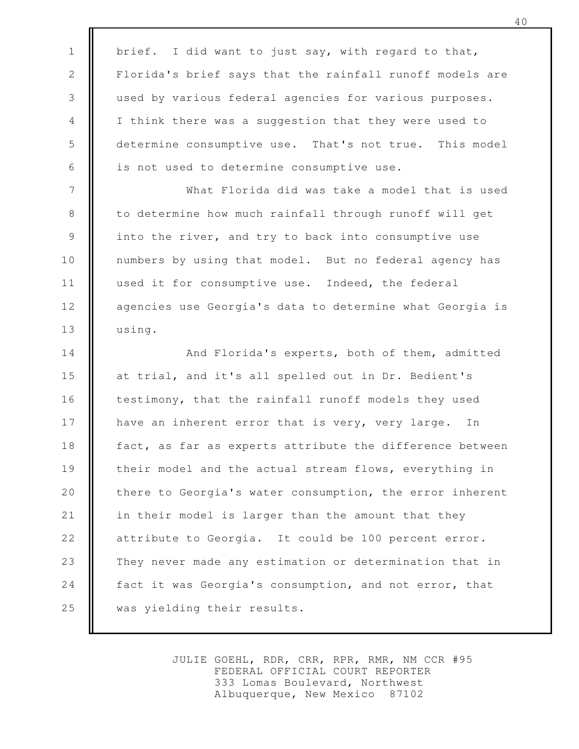brief. I did want to just say, with regard to that, Florida's brief says that the rainfall runoff models are used by various federal agencies for various purposes. I think there was a suggestion that they were used to determine consumptive use. That's not true. This model is not used to determine consumptive use. 1 2 3 4 5 6

7

8

9

10

11

12

13

What Florida did was take a model that is used to determine how much rainfall through runoff will get into the river, and try to back into consumptive use numbers by using that model. But no federal agency has used it for consumptive use. Indeed, the federal agencies use Georgia's data to determine what Georgia is using.

And Florida's experts, both of them, admitted at trial, and it's all spelled out in Dr. Bedient's testimony, that the rainfall runoff models they used have an inherent error that is very, very large. In fact, as far as experts attribute the difference between their model and the actual stream flows, everything in there to Georgia's water consumption, the error inherent in their model is larger than the amount that they attribute to Georgia. It could be 100 percent error. They never made any estimation or determination that in fact it was Georgia's consumption, and not error, that was yielding their results. 14 15 16 17 18 19 20 21 22 23 24 25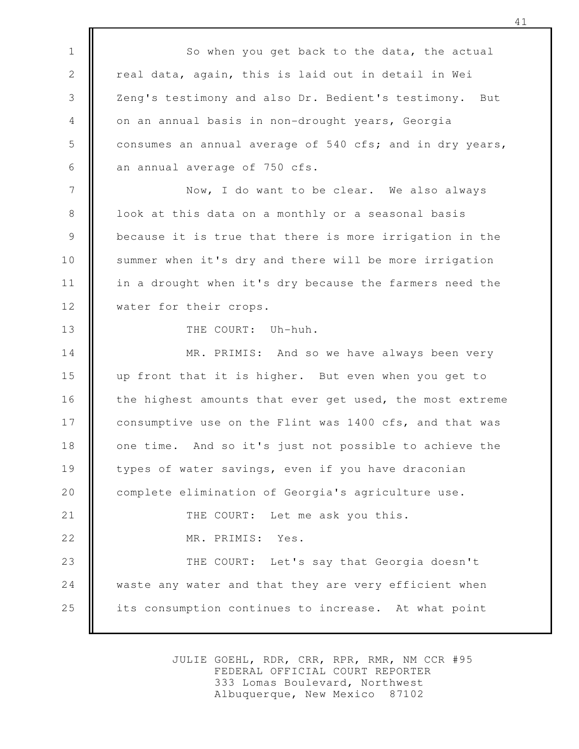So when you get back to the data, the actual real data, again, this is laid out in detail in Wei Zeng's testimony and also Dr. Bedient's testimony. But on an annual basis in non-drought years, Georgia consumes an annual average of 540 cfs; and in dry years, an annual average of 750 cfs. Now, I do want to be clear. We also always look at this data on a monthly or a seasonal basis because it is true that there is more irrigation in the summer when it's dry and there will be more irrigation in a drought when it's dry because the farmers need the water for their crops. THE COURT: Uh-huh. MR. PRIMIS: And so we have always been very up front that it is higher. But even when you get to the highest amounts that ever get used, the most extreme consumptive use on the Flint was 1400 cfs, and that was one time. And so it's just not possible to achieve the types of water savings, even if you have draconian complete elimination of Georgia's agriculture use. THE COURT: Let me ask you this. MR. PRIMIS: Yes. THE COURT: Let's say that Georgia doesn't waste any water and that they are very efficient when its consumption continues to increase. At what point 1 2 3 4 5 6 7 8 9 10 11 12 13 14 15 16 17 18 19 20 21 22 23 24 25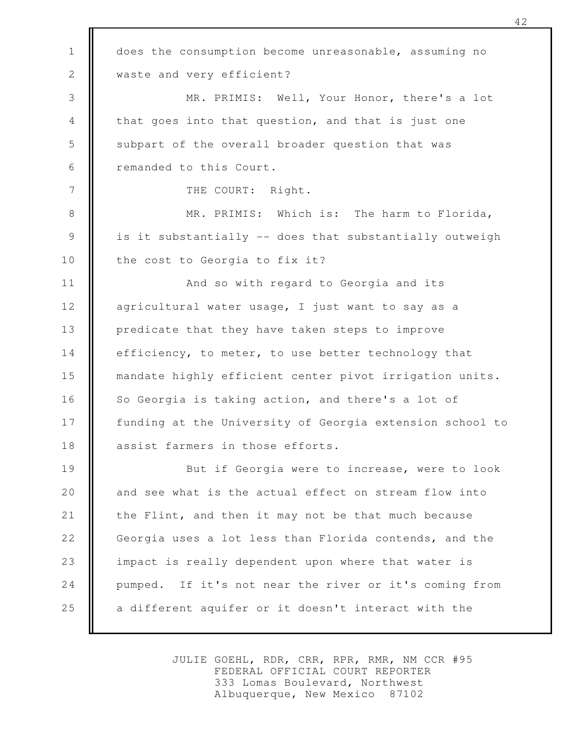does the consumption become unreasonable, assuming no waste and very efficient? MR. PRIMIS: Well, Your Honor, there's a lot that goes into that question, and that is just one subpart of the overall broader question that was remanded to this Court. THE COURT: Right. MR. PRIMIS: Which is: The harm to Florida, is it substantially -- does that substantially outweigh the cost to Georgia to fix it? And so with regard to Georgia and its agricultural water usage, I just want to say as a predicate that they have taken steps to improve efficiency, to meter, to use better technology that mandate highly efficient center pivot irrigation units. So Georgia is taking action, and there's a lot of funding at the University of Georgia extension school to assist farmers in those efforts. But if Georgia were to increase, were to look and see what is the actual effect on stream flow into the Flint, and then it may not be that much because Georgia uses a lot less than Florida contends, and the impact is really dependent upon where that water is pumped. If it's not near the river or it's coming from a different aquifer or it doesn't interact with the 1 2 3 4 5 6 7 8 9 10 11 12 13 14 15 16 17 18 19 20 21 22 23 24 25

> JULIE GOEHL, RDR, CRR, RPR, RMR, NM CCR #95 FEDERAL OFFICIAL COURT REPORTER 333 Lomas Boulevard, Northwest Albuquerque, New Mexico 87102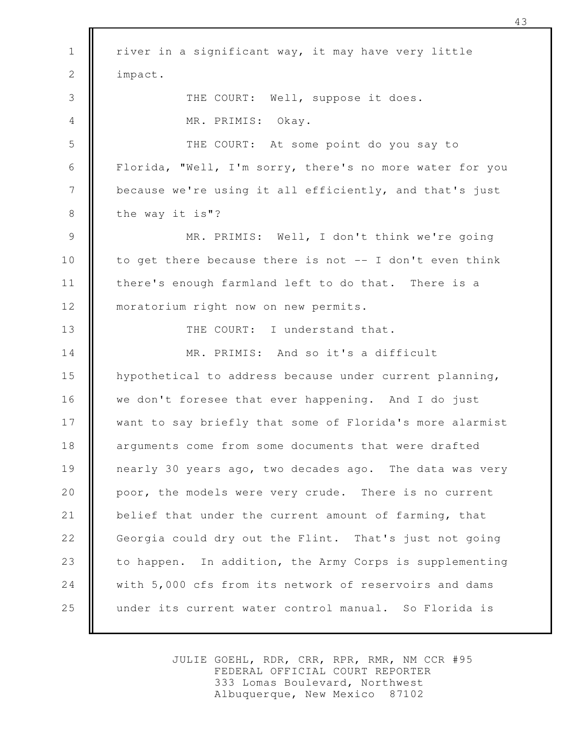river in a significant way, it may have very little impact. THE COURT: Well, suppose it does. MR. PRIMIS: Okay. THE COURT: At some point do you say to Florida, "Well, I'm sorry, there's no more water for you because we're using it all efficiently, and that's just the way it is"? MR. PRIMIS: Well, I don't think we're going to get there because there is not -- I don't even think there's enough farmland left to do that. There is a moratorium right now on new permits. THE COURT: I understand that. MR. PRIMIS: And so it's a difficult hypothetical to address because under current planning, we don't foresee that ever happening. And I do just want to say briefly that some of Florida's more alarmist arguments come from some documents that were drafted nearly 30 years ago, two decades ago. The data was very poor, the models were very crude. There is no current belief that under the current amount of farming, that Georgia could dry out the Flint. That's just not going to happen. In addition, the Army Corps is supplementing with 5,000 cfs from its network of reservoirs and dams under its current water control manual. So Florida is 1 2 3 4 5 6 7 8 9 10 11 12 13 14 15 16 17 18 19 20 21 22 23 24 25

> JULIE GOEHL, RDR, CRR, RPR, RMR, NM CCR #95 FEDERAL OFFICIAL COURT REPORTER 333 Lomas Boulevard, Northwest Albuquerque, New Mexico 87102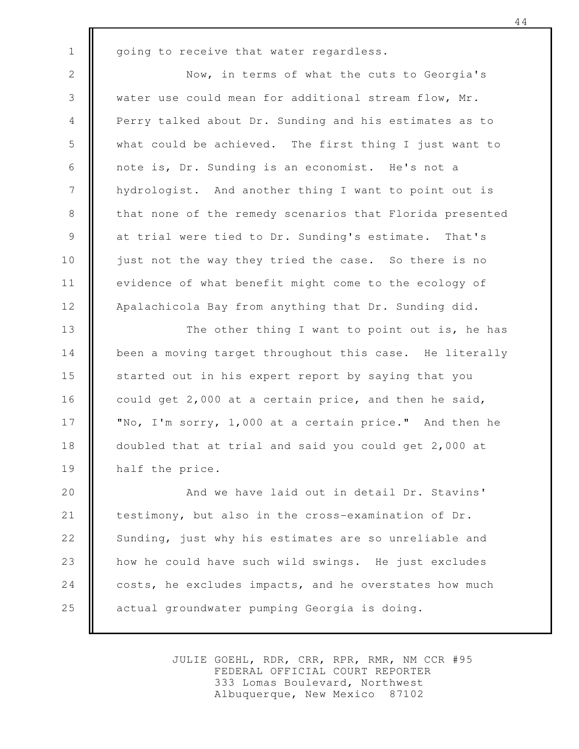1

going to receive that water regardless.

Now, in terms of what the cuts to Georgia's water use could mean for additional stream flow, Mr. Perry talked about Dr. Sunding and his estimates as to what could be achieved. The first thing I just want to note is, Dr. Sunding is an economist. He's not a hydrologist. And another thing I want to point out is that none of the remedy scenarios that Florida presented at trial were tied to Dr. Sunding's estimate. That's just not the way they tried the case. So there is no evidence of what benefit might come to the ecology of Apalachicola Bay from anything that Dr. Sunding did. 2 3 4 5 6 7 8 9 10 11 12

The other thing I want to point out is, he has been a moving target throughout this case. He literally started out in his expert report by saying that you could get 2,000 at a certain price, and then he said, "No, I'm sorry, 1,000 at a certain price." And then he doubled that at trial and said you could get 2,000 at half the price. 13 14 15 16 17 18 19

And we have laid out in detail Dr. Stavins' testimony, but also in the cross-examination of Dr. Sunding, just why his estimates are so unreliable and how he could have such wild swings. He just excludes costs, he excludes impacts, and he overstates how much actual groundwater pumping Georgia is doing. 20 21 22 23 24 25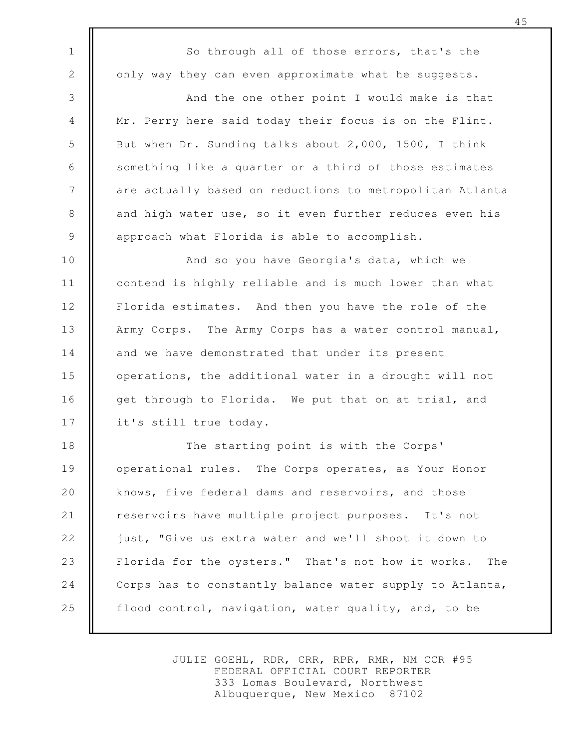So through all of those errors, that's the only way they can even approximate what he suggests.

1

2

3

4

5

6

7

8

9

And the one other point I would make is that Mr. Perry here said today their focus is on the Flint. But when Dr. Sunding talks about 2,000, 1500, I think something like a quarter or a third of those estimates are actually based on reductions to metropolitan Atlanta and high water use, so it even further reduces even his approach what Florida is able to accomplish.

And so you have Georgia's data, which we contend is highly reliable and is much lower than what Florida estimates. And then you have the role of the Army Corps. The Army Corps has a water control manual, and we have demonstrated that under its present operations, the additional water in a drought will not get through to Florida. We put that on at trial, and it's still true today. 10 11 12 13 14 15 16 17

The starting point is with the Corps' operational rules. The Corps operates, as Your Honor knows, five federal dams and reservoirs, and those reservoirs have multiple project purposes. It's not just, "Give us extra water and we'll shoot it down to Florida for the oysters." That's not how it works. The Corps has to constantly balance water supply to Atlanta, flood control, navigation, water quality, and, to be 18 19 20 21 22 23 24 25

> JULIE GOEHL, RDR, CRR, RPR, RMR, NM CCR #95 FEDERAL OFFICIAL COURT REPORTER 333 Lomas Boulevard, Northwest Albuquerque, New Mexico 87102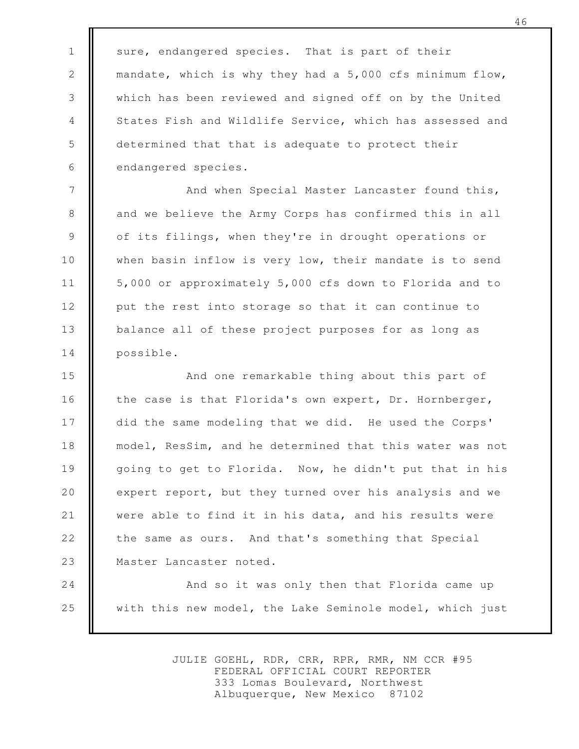sure, endangered species. That is part of their mandate, which is why they had a 5,000 cfs minimum flow, which has been reviewed and signed off on by the United States Fish and Wildlife Service, which has assessed and determined that that is adequate to protect their endangered species.

1

2

3

4

5

6

And when Special Master Lancaster found this, and we believe the Army Corps has confirmed this in all of its filings, when they're in drought operations or when basin inflow is very low, their mandate is to send 5,000 or approximately 5,000 cfs down to Florida and to put the rest into storage so that it can continue to balance all of these project purposes for as long as possible. 7 8 9 10 11 12 13 14

And one remarkable thing about this part of the case is that Florida's own expert, Dr. Hornberger, did the same modeling that we did. He used the Corps' model, ResSim, and he determined that this water was not going to get to Florida. Now, he didn't put that in his expert report, but they turned over his analysis and we were able to find it in his data, and his results were the same as ours. And that's something that Special Master Lancaster noted. 15 16 17 18 19 20 21 22 23

And so it was only then that Florida came up with this new model, the Lake Seminole model, which just 24 25

> JULIE GOEHL, RDR, CRR, RPR, RMR, NM CCR #95 FEDERAL OFFICIAL COURT REPORTER 333 Lomas Boulevard, Northwest Albuquerque, New Mexico 87102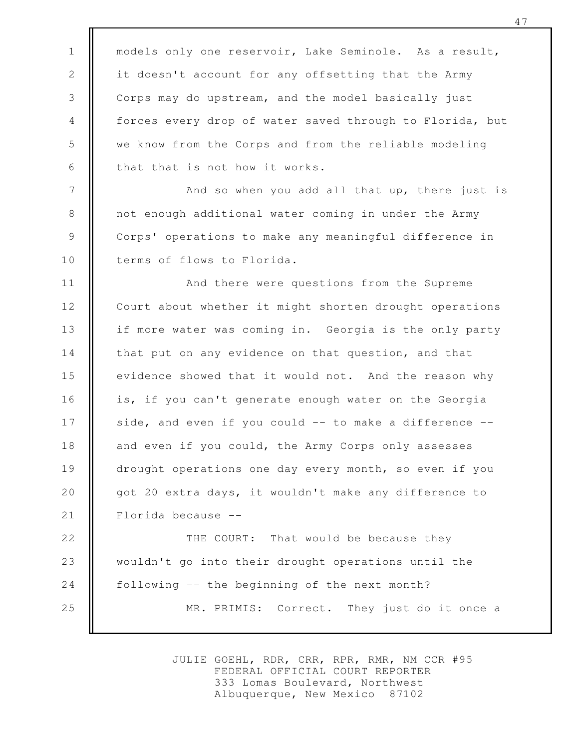models only one reservoir, Lake Seminole. As a result, it doesn't account for any offsetting that the Army Corps may do upstream, and the model basically just forces every drop of water saved through to Florida, but we know from the Corps and from the reliable modeling that that is not how it works.

1

2

3

4

5

6

7

8

9

10

And so when you add all that up, there just is not enough additional water coming in under the Army Corps' operations to make any meaningful difference in terms of flows to Florida.

And there were questions from the Supreme Court about whether it might shorten drought operations if more water was coming in. Georgia is the only party that put on any evidence on that question, and that evidence showed that it would not. And the reason why is, if you can't generate enough water on the Georgia side, and even if you could -- to make a difference -and even if you could, the Army Corps only assesses drought operations one day every month, so even if you got 20 extra days, it wouldn't make any difference to Florida because -- 11 12 13 14 15 16 17 18 19 20 21

THE COURT: That would be because they wouldn't go into their drought operations until the following -- the beginning of the next month? MR. PRIMIS: Correct. They just do it once a 22 23 24 25

> JULIE GOEHL, RDR, CRR, RPR, RMR, NM CCR #95 FEDERAL OFFICIAL COURT REPORTER 333 Lomas Boulevard, Northwest Albuquerque, New Mexico 87102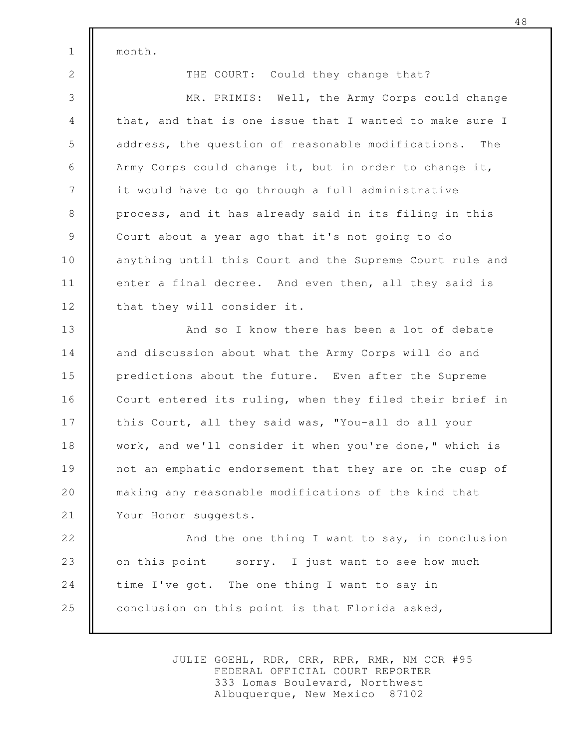month.

1

2

THE COURT: Could they change that?

MR. PRIMIS: Well, the Army Corps could change that, and that is one issue that I wanted to make sure I address, the question of reasonable modifications. The Army Corps could change it, but in order to change it, it would have to go through a full administrative process, and it has already said in its filing in this Court about a year ago that it's not going to do anything until this Court and the Supreme Court rule and enter a final decree. And even then, all they said is that they will consider it. 3 4 5 6 7 8 9 10 11 12

And so I know there has been a lot of debate and discussion about what the Army Corps will do and predictions about the future. Even after the Supreme Court entered its ruling, when they filed their brief in this Court, all they said was, "You-all do all your work, and we'll consider it when you're done," which is not an emphatic endorsement that they are on the cusp of making any reasonable modifications of the kind that Your Honor suggests. 13 14 15 16 17 18 19 20 21

And the one thing I want to say, in conclusion on this point -- sorry. I just want to see how much time I've got. The one thing I want to say in conclusion on this point is that Florida asked, 22 23 24 25

> JULIE GOEHL, RDR, CRR, RPR, RMR, NM CCR #95 FEDERAL OFFICIAL COURT REPORTER 333 Lomas Boulevard, Northwest Albuquerque, New Mexico 87102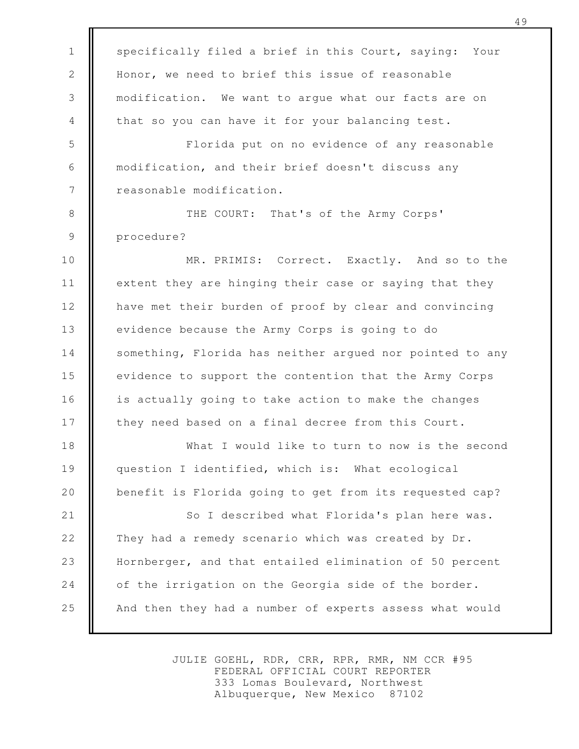specifically filed a brief in this Court, saying: Your Honor, we need to brief this issue of reasonable modification. We want to argue what our facts are on that so you can have it for your balancing test. Florida put on no evidence of any reasonable modification, and their brief doesn't discuss any reasonable modification. THE COURT: That's of the Army Corps' procedure? MR. PRIMIS: Correct. Exactly. And so to the extent they are hinging their case or saying that they have met their burden of proof by clear and convincing evidence because the Army Corps is going to do something, Florida has neither argued nor pointed to any evidence to support the contention that the Army Corps is actually going to take action to make the changes they need based on a final decree from this Court. What I would like to turn to now is the second question I identified, which is: What ecological benefit is Florida going to get from its requested cap? So I described what Florida's plan here was. They had a remedy scenario which was created by Dr. Hornberger, and that entailed elimination of 50 percent of the irrigation on the Georgia side of the border. And then they had a number of experts assess what would 1 2 3 4 5 6 7 8 9 10 11 12 13 14 15 16 17 18 19 20 21 22 23 24 25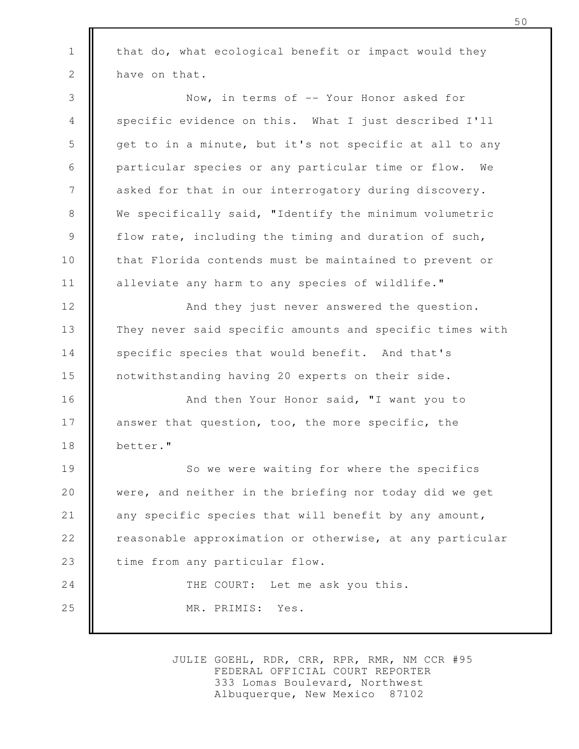that do, what ecological benefit or impact would they have on that. Now, in terms of -- Your Honor asked for specific evidence on this. What I just described I'll get to in a minute, but it's not specific at all to any particular species or any particular time or flow. We asked for that in our interrogatory during discovery. We specifically said, "Identify the minimum volumetric flow rate, including the timing and duration of such, that Florida contends must be maintained to prevent or alleviate any harm to any species of wildlife." And they just never answered the question. They never said specific amounts and specific times with specific species that would benefit. And that's notwithstanding having 20 experts on their side. And then Your Honor said, "I want you to answer that question, too, the more specific, the better." So we were waiting for where the specifics were, and neither in the briefing nor today did we get any specific species that will benefit by any amount, reasonable approximation or otherwise, at any particular time from any particular flow. THE COURT: Let me ask you this. MR. PRIMIS: Yes. 1 2 3 4 5 6 7 8 9 10 11 12 13 14 15 16 17 18 19 20 21 22 23 24 25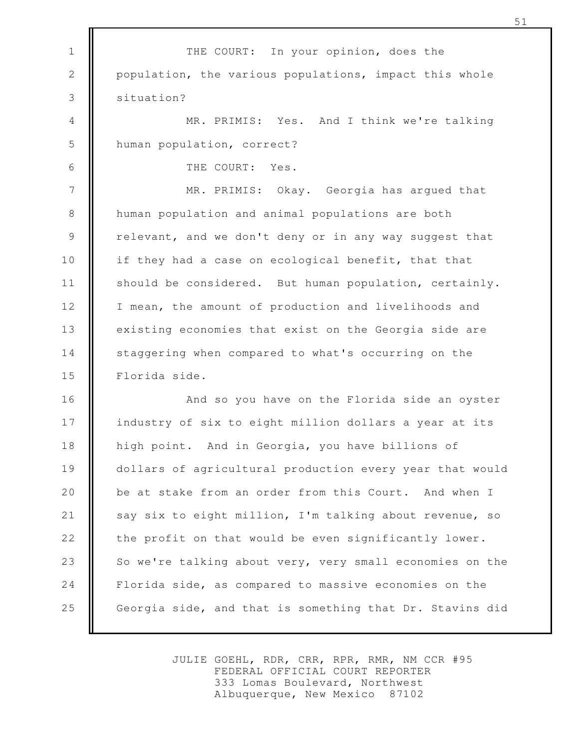THE COURT: In your opinion, does the population, the various populations, impact this whole situation? MR. PRIMIS: Yes. And I think we're talking human population, correct? THE COURT: Yes. MR. PRIMIS: Okay. Georgia has argued that human population and animal populations are both relevant, and we don't deny or in any way suggest that if they had a case on ecological benefit, that that should be considered. But human population, certainly. I mean, the amount of production and livelihoods and existing economies that exist on the Georgia side are staggering when compared to what's occurring on the Florida side. And so you have on the Florida side an oyster industry of six to eight million dollars a year at its high point. And in Georgia, you have billions of dollars of agricultural production every year that would be at stake from an order from this Court. And when I say six to eight million, I'm talking about revenue, so the profit on that would be even significantly lower. So we're talking about very, very small economies on the Florida side, as compared to massive economies on the Georgia side, and that is something that Dr. Stavins did 1 2 3 4 5 6 7 8 9 10 11 12 13 14 15 16 17 18 19 20 21 22 23 24 25

> JULIE GOEHL, RDR, CRR, RPR, RMR, NM CCR #95 FEDERAL OFFICIAL COURT REPORTER 333 Lomas Boulevard, Northwest Albuquerque, New Mexico 87102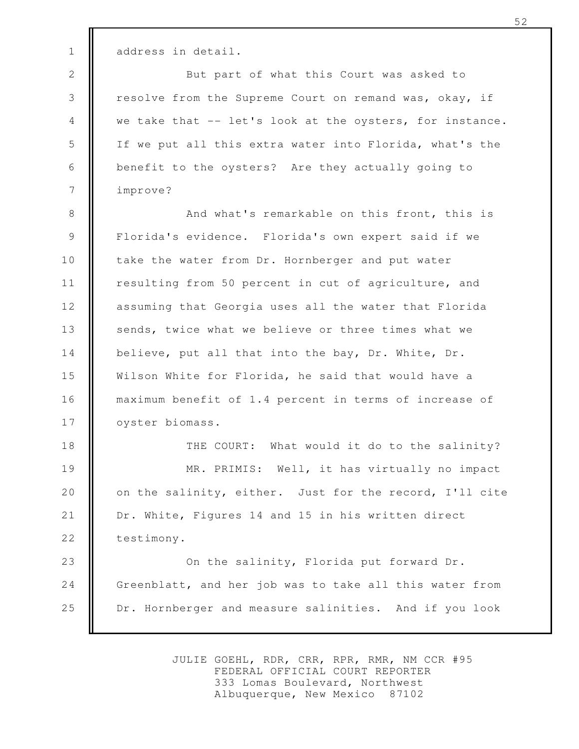address in detail.

1

2

3

4

5

6

7

But part of what this Court was asked to resolve from the Supreme Court on remand was, okay, if we take that -- let's look at the oysters, for instance. If we put all this extra water into Florida, what's the benefit to the oysters? Are they actually going to improve?

And what's remarkable on this front, this is Florida's evidence. Florida's own expert said if we take the water from Dr. Hornberger and put water resulting from 50 percent in cut of agriculture, and assuming that Georgia uses all the water that Florida sends, twice what we believe or three times what we believe, put all that into the bay, Dr. White, Dr. Wilson White for Florida, he said that would have a maximum benefit of 1.4 percent in terms of increase of oyster biomass. 8 9 10 11 12 13 14 15 16 17

THE COURT: What would it do to the salinity? MR. PRIMIS: Well, it has virtually no impact on the salinity, either. Just for the record, I'll cite Dr. White, Figures 14 and 15 in his written direct testimony. 18 19 20 21 22

On the salinity, Florida put forward Dr. Greenblatt, and her job was to take all this water from Dr. Hornberger and measure salinities. And if you look 23 24 25

> JULIE GOEHL, RDR, CRR, RPR, RMR, NM CCR #95 FEDERAL OFFICIAL COURT REPORTER 333 Lomas Boulevard, Northwest Albuquerque, New Mexico 87102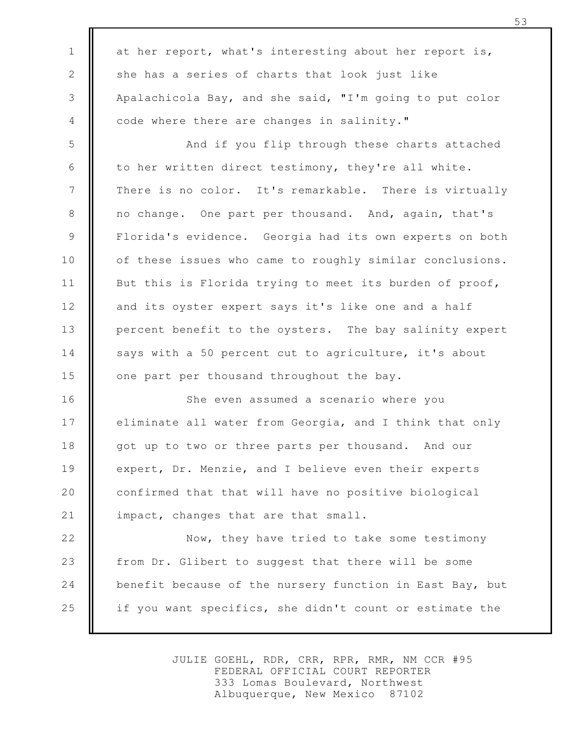at her report, what's interesting about her report is, she has a series of charts that look just like Apalachicola Bay, and she said, "I'm going to put color code where there are changes in salinity." And if you flip through these charts attached to her written direct testimony, they're all white. There is no color. It's remarkable. There is virtually no change. One part per thousand. And, again, that's Florida's evidence. Georgia had its own experts on both of these issues who came to roughly similar conclusions. But this is Florida trying to meet its burden of proof, and its oyster expert says it's like one and a half percent benefit to the oysters. The bay salinity expert says with a 50 percent cut to agriculture, it's about one part per thousand throughout the bay. She even assumed a scenario where you eliminate all water from Georgia, and I think that only got up to two or three parts per thousand. And our expert, Dr. Menzie, and I believe even their experts confirmed that that will have no positive biological impact, changes that are that small. Now, they have tried to take some testimony from Dr. Glibert to suggest that there will be some benefit because of the nursery function in East Bay, but if you want specifics, she didn't count or estimate the 1 2 3 4 5 6 7 8 9 10 11 12 13 14 15 16 17 18 19 20 21 22 23 24 25

> JULIE GOEHL, RDR, CRR, RPR, RMR, NM CCR #95 FEDERAL OFFICIAL COURT REPORTER 333 Lomas Boulevard, Northwest Albuquerque, New Mexico 87102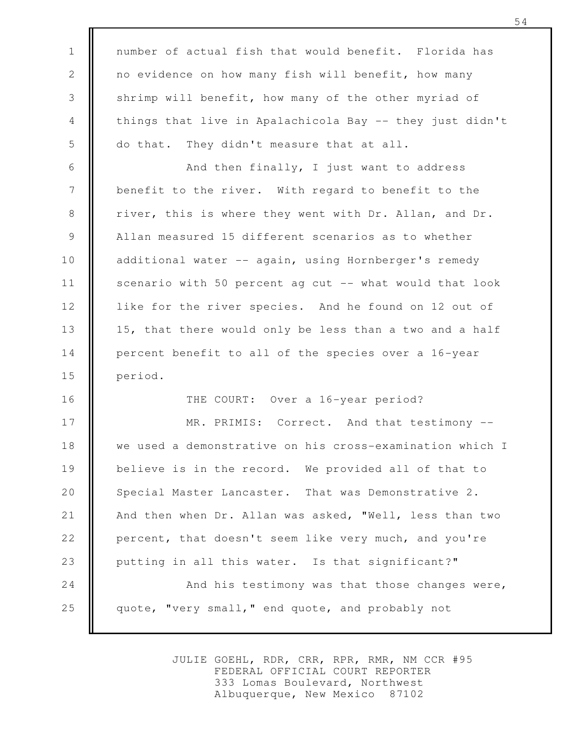number of actual fish that would benefit. Florida has no evidence on how many fish will benefit, how many shrimp will benefit, how many of the other myriad of things that live in Apalachicola Bay -- they just didn't do that. They didn't measure that at all. And then finally, I just want to address benefit to the river. With regard to benefit to the river, this is where they went with Dr. Allan, and Dr. Allan measured 15 different scenarios as to whether additional water -- again, using Hornberger's remedy scenario with 50 percent ag cut -- what would that look like for the river species. And he found on 12 out of 15, that there would only be less than a two and a half percent benefit to all of the species over a 16-year period. THE COURT: Over a 16-year period? MR. PRIMIS: Correct. And that testimony -we used a demonstrative on his cross-examination which I believe is in the record. We provided all of that to Special Master Lancaster. That was Demonstrative 2. And then when Dr. Allan was asked, "Well, less than two percent, that doesn't seem like very much, and you're putting in all this water. Is that significant?" And his testimony was that those changes were, quote, "very small," end quote, and probably not 1 2 3 4 5 6 7 8 9 10 11 12 13 14 15 16 17 18 19 20 21 22 23 24 25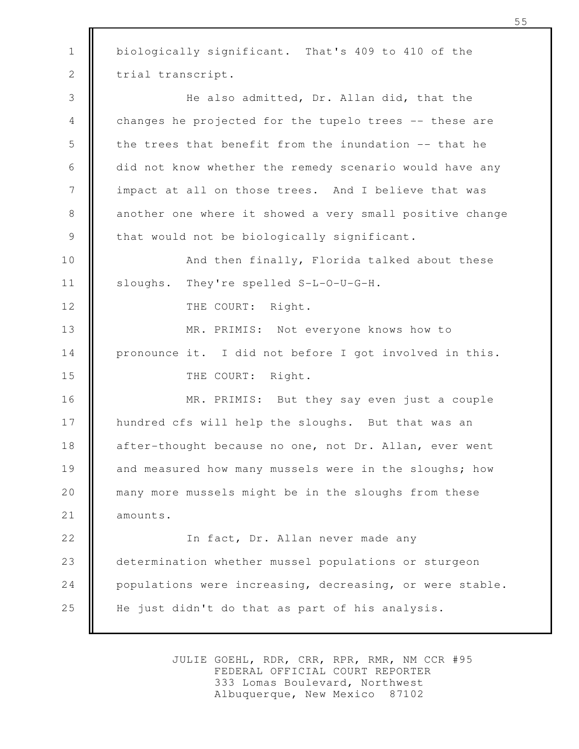biologically significant. That's 409 to 410 of the trial transcript. He also admitted, Dr. Allan did, that the changes he projected for the tupelo trees -- these are the trees that benefit from the inundation -- that he did not know whether the remedy scenario would have any impact at all on those trees. And I believe that was another one where it showed a very small positive change that would not be biologically significant. And then finally, Florida talked about these sloughs. They're spelled S-L-O-U-G-H. THE COURT: Right. MR. PRIMIS: Not everyone knows how to pronounce it. I did not before I got involved in this. THE COURT: Right. MR. PRIMIS: But they say even just a couple hundred cfs will help the sloughs. But that was an after-thought because no one, not Dr. Allan, ever went and measured how many mussels were in the sloughs; how many more mussels might be in the sloughs from these amounts. In fact, Dr. Allan never made any determination whether mussel populations or sturgeon populations were increasing, decreasing, or were stable. He just didn't do that as part of his analysis. 1 2 3 4 5 6 7 8 9 10 11 12 13 14 15 16 17 18 19 20 21 22 23 24 25

> JULIE GOEHL, RDR, CRR, RPR, RMR, NM CCR #95 FEDERAL OFFICIAL COURT REPORTER 333 Lomas Boulevard, Northwest Albuquerque, New Mexico 87102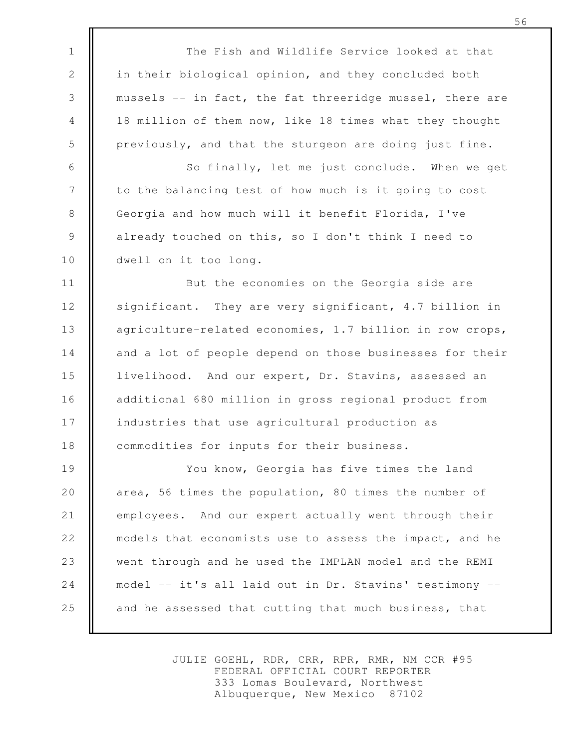The Fish and Wildlife Service looked at that in their biological opinion, and they concluded both mussels -- in fact, the fat threeridge mussel, there are 18 million of them now, like 18 times what they thought previously, and that the sturgeon are doing just fine.

1

2

3

4

5

6

7

8

9

10

So finally, let me just conclude. When we get to the balancing test of how much is it going to cost Georgia and how much will it benefit Florida, I've already touched on this, so I don't think I need to dwell on it too long.

But the economies on the Georgia side are significant. They are very significant, 4.7 billion in agriculture-related economies, 1.7 billion in row crops, and a lot of people depend on those businesses for their livelihood. And our expert, Dr. Stavins, assessed an additional 680 million in gross regional product from industries that use agricultural production as commodities for inputs for their business. 11 12 13 14 15 16 17 18

You know, Georgia has five times the land area, 56 times the population, 80 times the number of employees. And our expert actually went through their models that economists use to assess the impact, and he went through and he used the IMPLAN model and the REMI model -- it's all laid out in Dr. Stavins' testimony - and he assessed that cutting that much business, that 19 20 21 22 23 24 25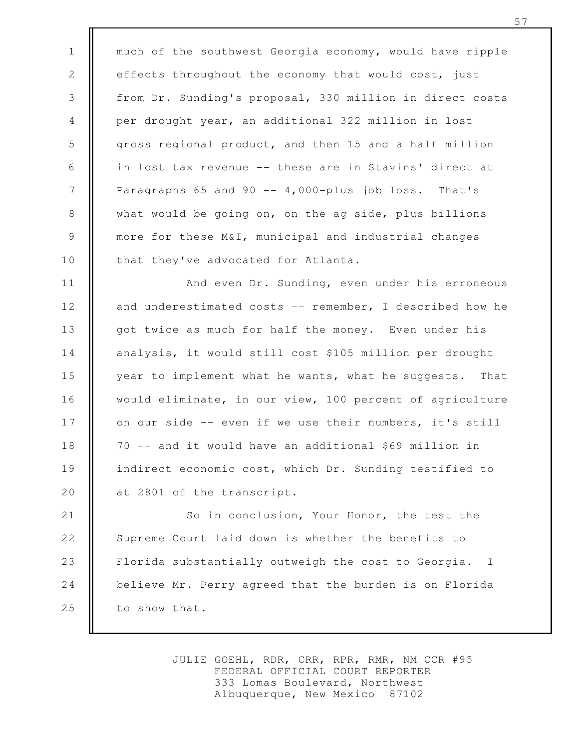much of the southwest Georgia economy, would have ripple effects throughout the economy that would cost, just from Dr. Sunding's proposal, 330 million in direct costs per drought year, an additional 322 million in lost gross regional product, and then 15 and a half million in lost tax revenue -- these are in Stavins' direct at Paragraphs 65 and 90  $-$  4,000-plus job loss. That's what would be going on, on the ag side, plus billions more for these M&I, municipal and industrial changes that they've advocated for Atlanta. 1 2 3 4 5 6 7 8 9 10

And even Dr. Sunding, even under his erroneous and underestimated costs -- remember, I described how he got twice as much for half the money. Even under his analysis, it would still cost \$105 million per drought year to implement what he wants, what he suggests. That would eliminate, in our view, 100 percent of agriculture on our side -- even if we use their numbers, it's still 70 -- and it would have an additional \$69 million in indirect economic cost, which Dr. Sunding testified to at 2801 of the transcript. 11 12 13 14 15 16 17 18 19 20

So in conclusion, Your Honor, the test the Supreme Court laid down is whether the benefits to Florida substantially outweigh the cost to Georgia. I believe Mr. Perry agreed that the burden is on Florida to show that. 21 22 23 24 25

> JULIE GOEHL, RDR, CRR, RPR, RMR, NM CCR #95 FEDERAL OFFICIAL COURT REPORTER 333 Lomas Boulevard, Northwest Albuquerque, New Mexico 87102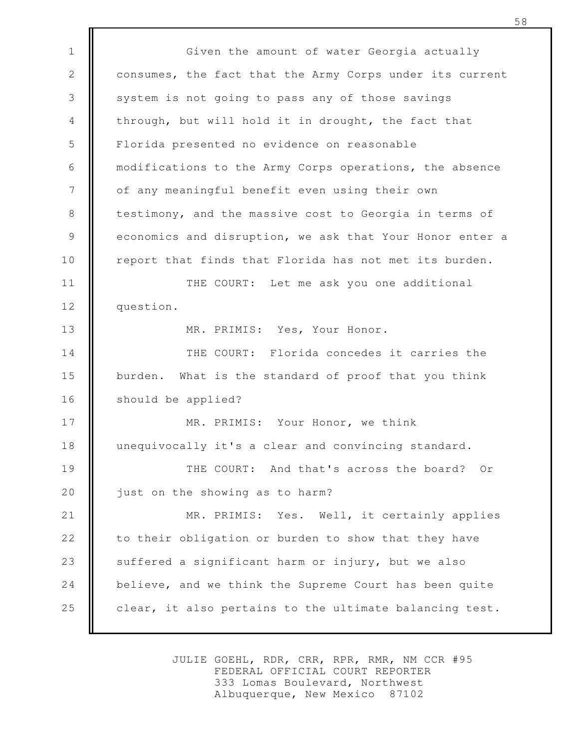Given the amount of water Georgia actually consumes, the fact that the Army Corps under its current system is not going to pass any of those savings through, but will hold it in drought, the fact that Florida presented no evidence on reasonable modifications to the Army Corps operations, the absence of any meaningful benefit even using their own testimony, and the massive cost to Georgia in terms of economics and disruption, we ask that Your Honor enter a report that finds that Florida has not met its burden. THE COURT: Let me ask you one additional question. MR. PRIMIS: Yes, Your Honor. THE COURT: Florida concedes it carries the burden. What is the standard of proof that you think should be applied? MR. PRIMIS: Your Honor, we think unequivocally it's a clear and convincing standard. THE COURT: And that's across the board? Or just on the showing as to harm? MR. PRIMIS: Yes. Well, it certainly applies to their obligation or burden to show that they have suffered a significant harm or injury, but we also believe, and we think the Supreme Court has been quite clear, it also pertains to the ultimate balancing test. 1 2 3 4 5 6 7 8 9 10 11 12 13 14 15 16 17 18 19 20 21 22 23 24 25

> JULIE GOEHL, RDR, CRR, RPR, RMR, NM CCR #95 FEDERAL OFFICIAL COURT REPORTER 333 Lomas Boulevard, Northwest Albuquerque, New Mexico 87102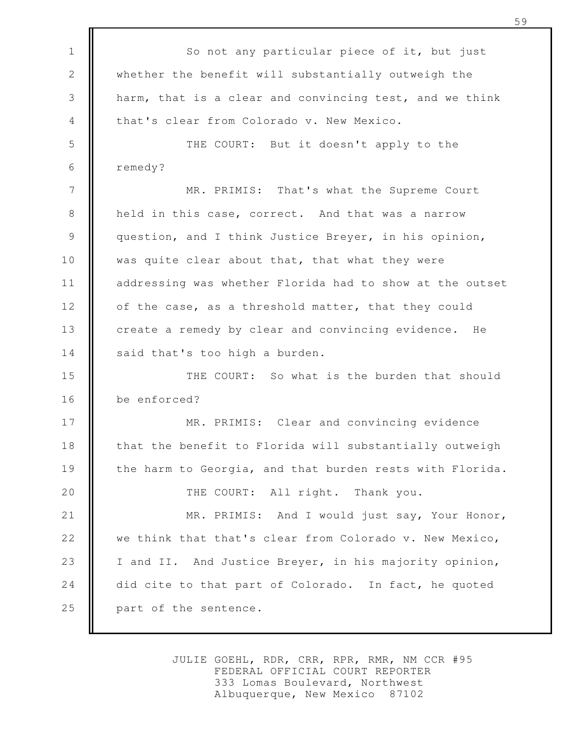So not any particular piece of it, but just whether the benefit will substantially outweigh the harm, that is a clear and convincing test, and we think that's clear from Colorado v. New Mexico. THE COURT: But it doesn't apply to the remedy? MR. PRIMIS: That's what the Supreme Court held in this case, correct. And that was a narrow question, and I think Justice Breyer, in his opinion, was quite clear about that, that what they were addressing was whether Florida had to show at the outset of the case, as a threshold matter, that they could create a remedy by clear and convincing evidence. He said that's too high a burden. THE COURT: So what is the burden that should be enforced? MR. PRIMIS: Clear and convincing evidence that the benefit to Florida will substantially outweigh the harm to Georgia, and that burden rests with Florida. THE COURT: All right. Thank you. MR. PRIMIS: And I would just say, Your Honor, we think that that's clear from Colorado v. New Mexico, I and II. And Justice Breyer, in his majority opinion, did cite to that part of Colorado. In fact, he quoted part of the sentence. 1 2 3 4 5 6 7 8 9 10 11 12 13 14 15 16 17 18 19 20 21 22 23 24 25

> JULIE GOEHL, RDR, CRR, RPR, RMR, NM CCR #95 FEDERAL OFFICIAL COURT REPORTER 333 Lomas Boulevard, Northwest Albuquerque, New Mexico 87102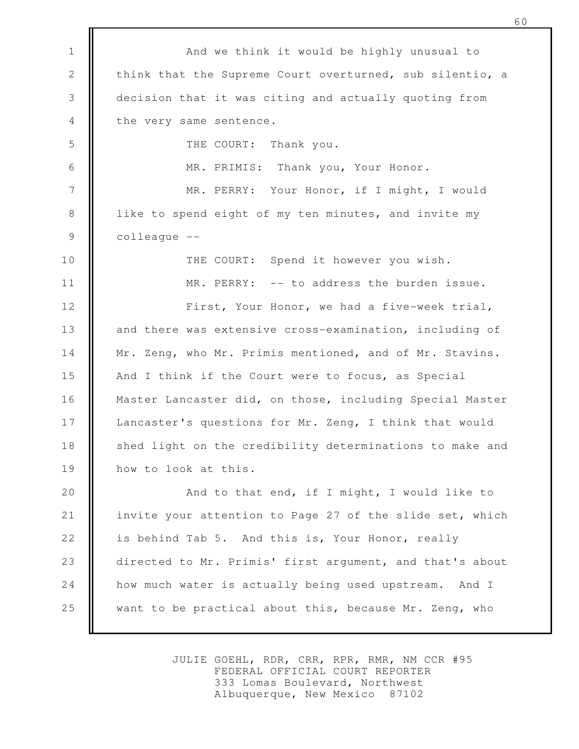And we think it would be highly unusual to think that the Supreme Court overturned, sub silentio, a decision that it was citing and actually quoting from the very same sentence. THE COURT: Thank you. MR. PRIMIS: Thank you, Your Honor. MR. PERRY: Your Honor, if I might, I would like to spend eight of my ten minutes, and invite my colleague -- THE COURT: Spend it however you wish. MR. PERRY: -- to address the burden issue. First, Your Honor, we had a five-week trial, and there was extensive cross-examination, including of Mr. Zeng, who Mr. Primis mentioned, and of Mr. Stavins. And I think if the Court were to focus, as Special Master Lancaster did, on those, including Special Master Lancaster's questions for Mr. Zeng, I think that would shed light on the credibility determinations to make and how to look at this. And to that end, if I might, I would like to invite your attention to Page 27 of the slide set, which is behind Tab 5. And this is, Your Honor, really directed to Mr. Primis' first argument, and that's about how much water is actually being used upstream. And I want to be practical about this, because Mr. Zeng, who 1 2 3 4 5 6 7 8 9 10 11 12 13 14 15 16 17 18 19 20 21 22 23 24 25

> JULIE GOEHL, RDR, CRR, RPR, RMR, NM CCR #95 FEDERAL OFFICIAL COURT REPORTER 333 Lomas Boulevard, Northwest Albuquerque, New Mexico 87102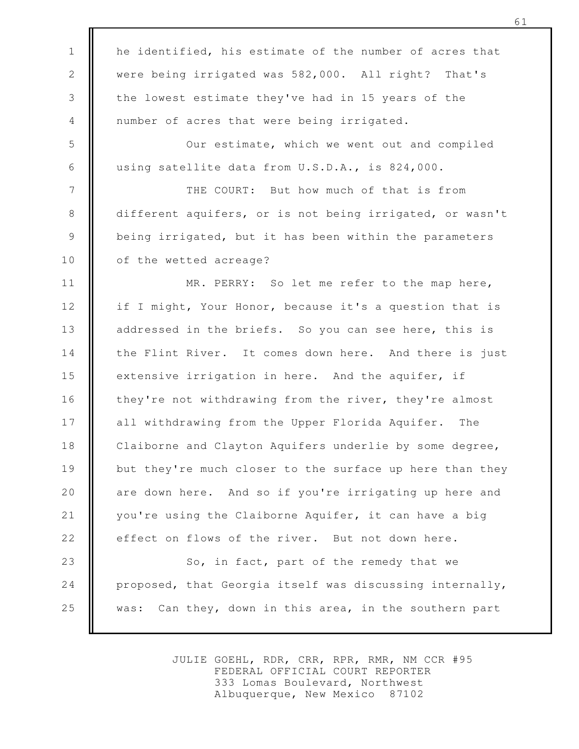he identified, his estimate of the number of acres that were being irrigated was 582,000. All right? That's the lowest estimate they've had in 15 years of the number of acres that were being irrigated. Our estimate, which we went out and compiled using satellite data from U.S.D.A., is 824,000. THE COURT: But how much of that is from different aquifers, or is not being irrigated, or wasn't being irrigated, but it has been within the parameters of the wetted acreage? MR. PERRY: So let me refer to the map here, if I might, Your Honor, because it's a question that is addressed in the briefs. So you can see here, this is the Flint River. It comes down here. And there is just extensive irrigation in here. And the aquifer, if they're not withdrawing from the river, they're almost all withdrawing from the Upper Florida Aquifer. The Claiborne and Clayton Aquifers underlie by some degree, but they're much closer to the surface up here than they are down here. And so if you're irrigating up here and you're using the Claiborne Aquifer, it can have a big effect on flows of the river. But not down here. So, in fact, part of the remedy that we proposed, that Georgia itself was discussing internally, was: Can they, down in this area, in the southern part 1 2 3 4 5 6 7 8 9 10 11 12 13 14 15 16 17 18 19 20 21 22 23 24 25

> JULIE GOEHL, RDR, CRR, RPR, RMR, NM CCR #95 FEDERAL OFFICIAL COURT REPORTER 333 Lomas Boulevard, Northwest Albuquerque, New Mexico 87102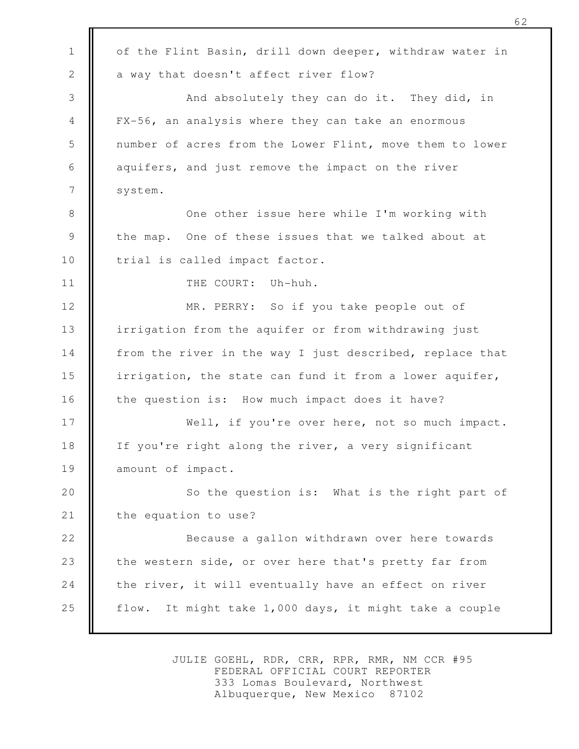of the Flint Basin, drill down deeper, withdraw water in a way that doesn't affect river flow? And absolutely they can do it. They did, in FX-56, an analysis where they can take an enormous number of acres from the Lower Flint, move them to lower aquifers, and just remove the impact on the river system. One other issue here while I'm working with the map. One of these issues that we talked about at trial is called impact factor. THE COURT: Uh-huh. MR. PERRY: So if you take people out of irrigation from the aquifer or from withdrawing just from the river in the way I just described, replace that irrigation, the state can fund it from a lower aquifer, the question is: How much impact does it have? Well, if you're over here, not so much impact. If you're right along the river, a very significant amount of impact. So the question is: What is the right part of the equation to use? Because a gallon withdrawn over here towards the western side, or over here that's pretty far from the river, it will eventually have an effect on river flow. It might take 1,000 days, it might take a couple 1 2 3 4 5 6 7 8 9 10 11 12 13 14 15 16 17 18 19 20 21 22 23 24 25

> JULIE GOEHL, RDR, CRR, RPR, RMR, NM CCR #95 FEDERAL OFFICIAL COURT REPORTER 333 Lomas Boulevard, Northwest Albuquerque, New Mexico 87102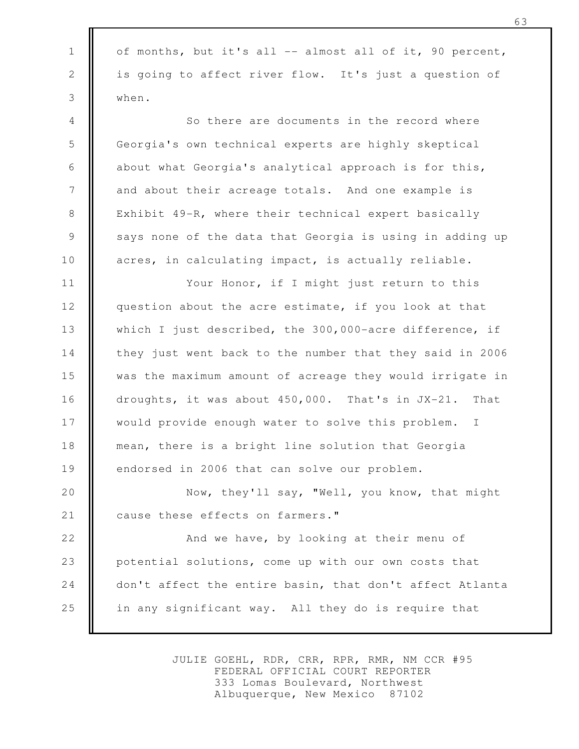of months, but it's all -- almost all of it, 90 percent, is going to affect river flow. It's just a question of when. So there are documents in the record where Georgia's own technical experts are highly skeptical about what Georgia's analytical approach is for this, and about their acreage totals. And one example is Exhibit 49-R, where their technical expert basically says none of the data that Georgia is using in adding up acres, in calculating impact, is actually reliable. Your Honor, if I might just return to this question about the acre estimate, if you look at that which I just described, the 300,000-acre difference, if they just went back to the number that they said in 2006 was the maximum amount of acreage they would irrigate in droughts, it was about 450,000. That's in JX-21. That would provide enough water to solve this problem. I mean, there is a bright line solution that Georgia endorsed in 2006 that can solve our problem. Now, they'll say, "Well, you know, that might cause these effects on farmers." And we have, by looking at their menu of 1 2 3 4 5 6 7 8 9 10 11 12 13 14 15 16 17 18 19 20 21 22

potential solutions, come up with our own costs that don't affect the entire basin, that don't affect Atlanta in any significant way. All they do is require that 23 24 25

> JULIE GOEHL, RDR, CRR, RPR, RMR, NM CCR #95 FEDERAL OFFICIAL COURT REPORTER 333 Lomas Boulevard, Northwest Albuquerque, New Mexico 87102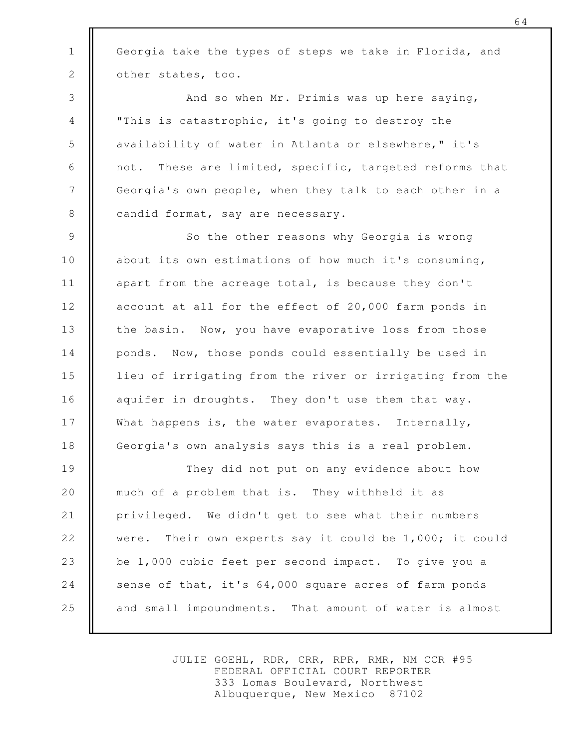Georgia take the types of steps we take in Florida, and other states, too.

1

2

And so when Mr. Primis was up here saying, "This is catastrophic, it's going to destroy the availability of water in Atlanta or elsewhere," it's not. These are limited, specific, targeted reforms that Georgia's own people, when they talk to each other in a candid format, say are necessary. 3 4 5 6 7 8

So the other reasons why Georgia is wrong about its own estimations of how much it's consuming, apart from the acreage total, is because they don't account at all for the effect of 20,000 farm ponds in the basin. Now, you have evaporative loss from those ponds. Now, those ponds could essentially be used in lieu of irrigating from the river or irrigating from the aquifer in droughts. They don't use them that way. What happens is, the water evaporates. Internally, Georgia's own analysis says this is a real problem. 9 10 11 12 13 14 15 16 17 18

They did not put on any evidence about how much of a problem that is. They withheld it as privileged. We didn't get to see what their numbers were. Their own experts say it could be 1,000; it could be 1,000 cubic feet per second impact. To give you a sense of that, it's 64,000 square acres of farm ponds and small impoundments. That amount of water is almost 19 20 21 22 23 24 25

> JULIE GOEHL, RDR, CRR, RPR, RMR, NM CCR #95 FEDERAL OFFICIAL COURT REPORTER 333 Lomas Boulevard, Northwest Albuquerque, New Mexico 87102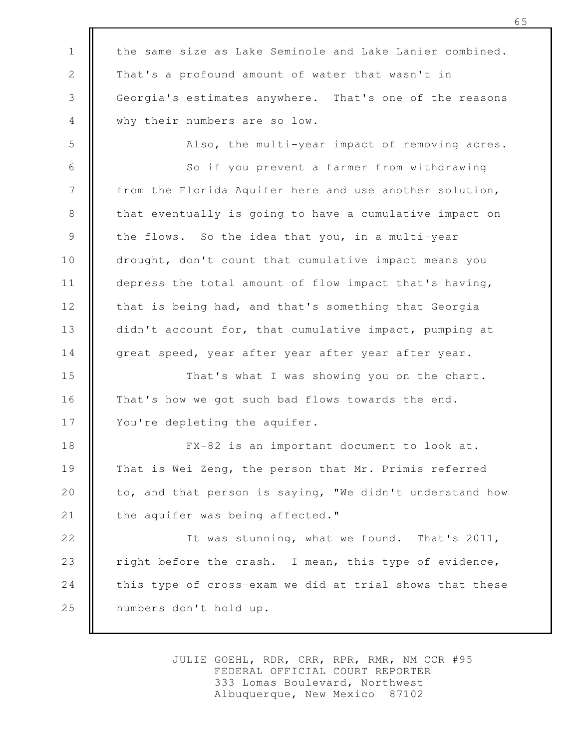the same size as Lake Seminole and Lake Lanier combined. That's a profound amount of water that wasn't in Georgia's estimates anywhere. That's one of the reasons why their numbers are so low. 1 2 3 4

5

Also, the multi-year impact of removing acres.

So if you prevent a farmer from withdrawing from the Florida Aquifer here and use another solution, that eventually is going to have a cumulative impact on the flows. So the idea that you, in a multi-year drought, don't count that cumulative impact means you depress the total amount of flow impact that's having, that is being had, and that's something that Georgia didn't account for, that cumulative impact, pumping at great speed, year after year after year after year. 6 7 8 9 10 11 12 13 14

That's what I was showing you on the chart. That's how we got such bad flows towards the end. You're depleting the aquifer. 15 16 17

FX-82 is an important document to look at. That is Wei Zeng, the person that Mr. Primis referred to, and that person is saying, "We didn't understand how the aquifer was being affected." 18 19 20 21

It was stunning, what we found. That's 2011, right before the crash. I mean, this type of evidence, this type of cross-exam we did at trial shows that these numbers don't hold up. 22 23 24 25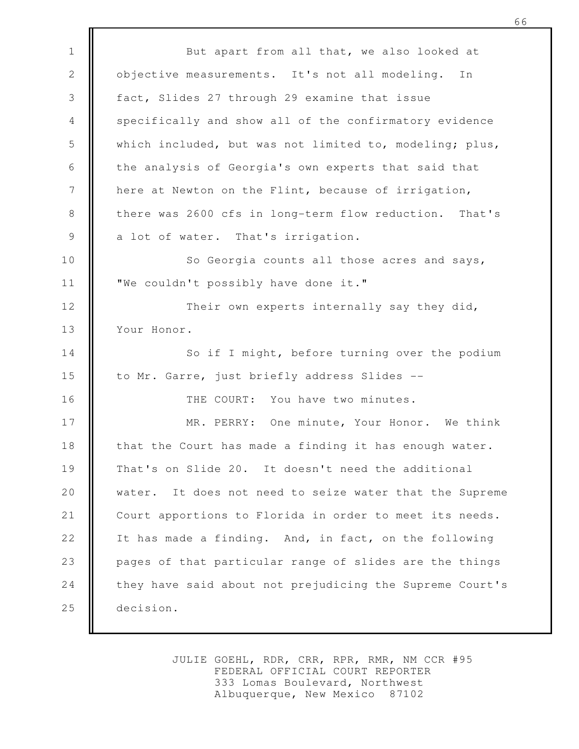But apart from all that, we also looked at objective measurements. It's not all modeling. In fact, Slides 27 through 29 examine that issue specifically and show all of the confirmatory evidence which included, but was not limited to, modeling; plus, the analysis of Georgia's own experts that said that here at Newton on the Flint, because of irrigation, there was 2600 cfs in long-term flow reduction. That's a lot of water. That's irrigation. So Georgia counts all those acres and says, "We couldn't possibly have done it." Their own experts internally say they did, Your Honor. So if I might, before turning over the podium to Mr. Garre, just briefly address Slides -- THE COURT: You have two minutes. MR. PERRY: One minute, Your Honor. We think that the Court has made a finding it has enough water. That's on Slide 20. It doesn't need the additional water. It does not need to seize water that the Supreme Court apportions to Florida in order to meet its needs. It has made a finding. And, in fact, on the following pages of that particular range of slides are the things they have said about not prejudicing the Supreme Court's decision. 1 2 3 4 5 6 7 8 9 10 11 12 13 14 15 16 17 18 19 20 21 22 23 24 25

> JULIE GOEHL, RDR, CRR, RPR, RMR, NM CCR #95 FEDERAL OFFICIAL COURT REPORTER 333 Lomas Boulevard, Northwest Albuquerque, New Mexico 87102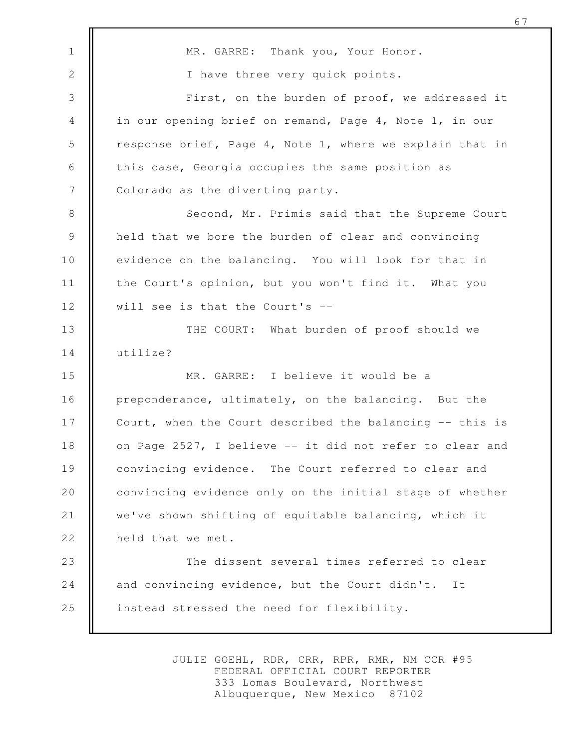MR. GARRE: Thank you, Your Honor. I have three very quick points. First, on the burden of proof, we addressed it in our opening brief on remand, Page 4, Note 1, in our response brief, Page 4, Note 1, where we explain that in this case, Georgia occupies the same position as Colorado as the diverting party. Second, Mr. Primis said that the Supreme Court held that we bore the burden of clear and convincing evidence on the balancing. You will look for that in the Court's opinion, but you won't find it. What you will see is that the Court's -- THE COURT: What burden of proof should we utilize? MR. GARRE: I believe it would be a preponderance, ultimately, on the balancing. But the Court, when the Court described the balancing -- this is on Page 2527, I believe -- it did not refer to clear and convincing evidence. The Court referred to clear and convincing evidence only on the initial stage of whether we've shown shifting of equitable balancing, which it held that we met. The dissent several times referred to clear and convincing evidence, but the Court didn't. It instead stressed the need for flexibility. 1 2 3 4 5 6 7 8 9 10 11 12 13 14 15 16 17 18 19 20 21 22 23 24 25

> JULIE GOEHL, RDR, CRR, RPR, RMR, NM CCR #95 FEDERAL OFFICIAL COURT REPORTER 333 Lomas Boulevard, Northwest Albuquerque, New Mexico 87102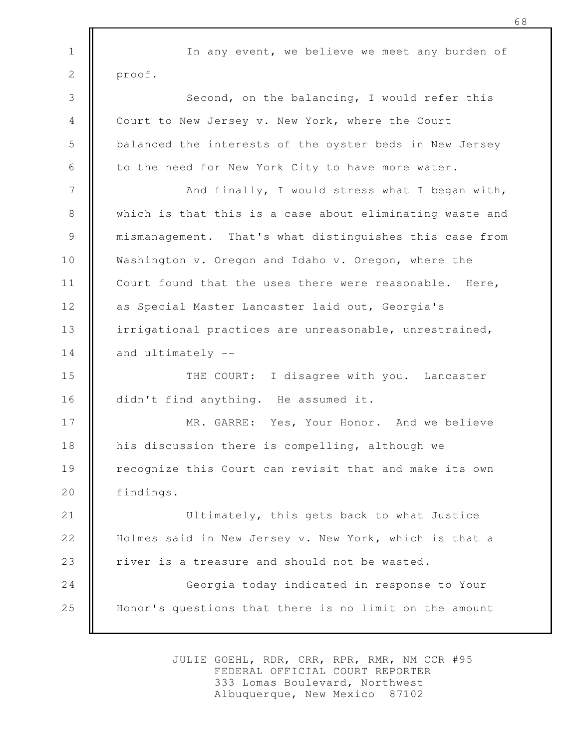In any event, we believe we meet any burden of proof. Second, on the balancing, I would refer this Court to New Jersey v. New York, where the Court balanced the interests of the oyster beds in New Jersey to the need for New York City to have more water. And finally, I would stress what I began with, which is that this is a case about eliminating waste and mismanagement. That's what distinguishes this case from Washington v. Oregon and Idaho v. Oregon, where the Court found that the uses there were reasonable. Here, as Special Master Lancaster laid out, Georgia's irrigational practices are unreasonable, unrestrained, and ultimately -- THE COURT: I disagree with you. Lancaster didn't find anything. He assumed it. MR. GARRE: Yes, Your Honor. And we believe his discussion there is compelling, although we recognize this Court can revisit that and make its own findings. Ultimately, this gets back to what Justice Holmes said in New Jersey v. New York, which is that a river is a treasure and should not be wasted. Georgia today indicated in response to Your Honor's questions that there is no limit on the amount 1 2 3 4 5 6 7 8 9 10 11 12 13 14 15 16 17 18 19 20 21 22 23 24 25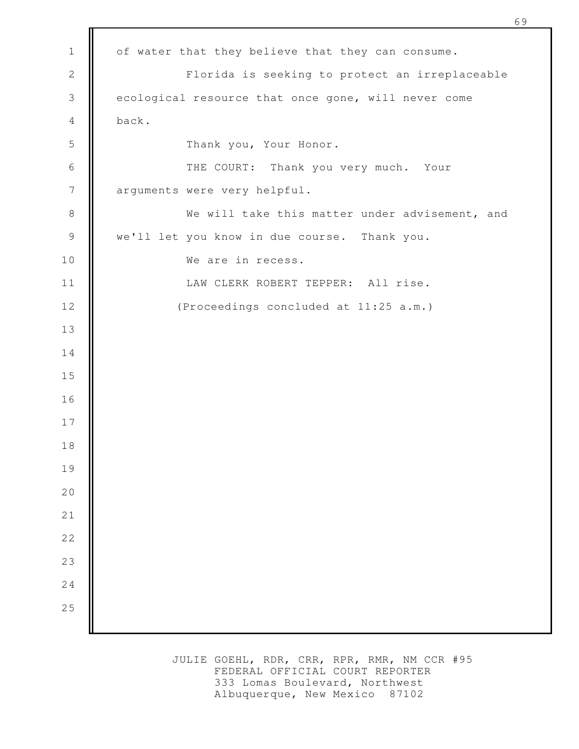| $1\,$          | of water that they believe that they can consume.   |
|----------------|-----------------------------------------------------|
| $\mathbf{2}$   | Florida is seeking to protect an irreplaceable      |
| $\mathcal{S}$  | ecological resource that once gone, will never come |
| 4              | back.                                               |
| 5              | Thank you, Your Honor.                              |
| 6              | THE COURT: Thank you very much. Your                |
| $\overline{7}$ | arguments were very helpful.                        |
| $\,8\,$        | We will take this matter under advisement, and      |
| $\mathcal{G}$  | we'll let you know in due course. Thank you.        |
| $10$           | We are in recess.                                   |
| 11             | LAW CLERK ROBERT TEPPER: All rise.                  |
| 12             | (Proceedings concluded at 11:25 a.m.)               |
| 13             |                                                     |
| 14             |                                                     |
| 15             |                                                     |
| 16             |                                                     |
| 17             |                                                     |
| 18             |                                                     |
| 19             |                                                     |
| 20             |                                                     |
| 21             |                                                     |
| $2\sqrt{2}$    |                                                     |
| 23             |                                                     |
| 24             |                                                     |
| 25             |                                                     |
|                |                                                     |